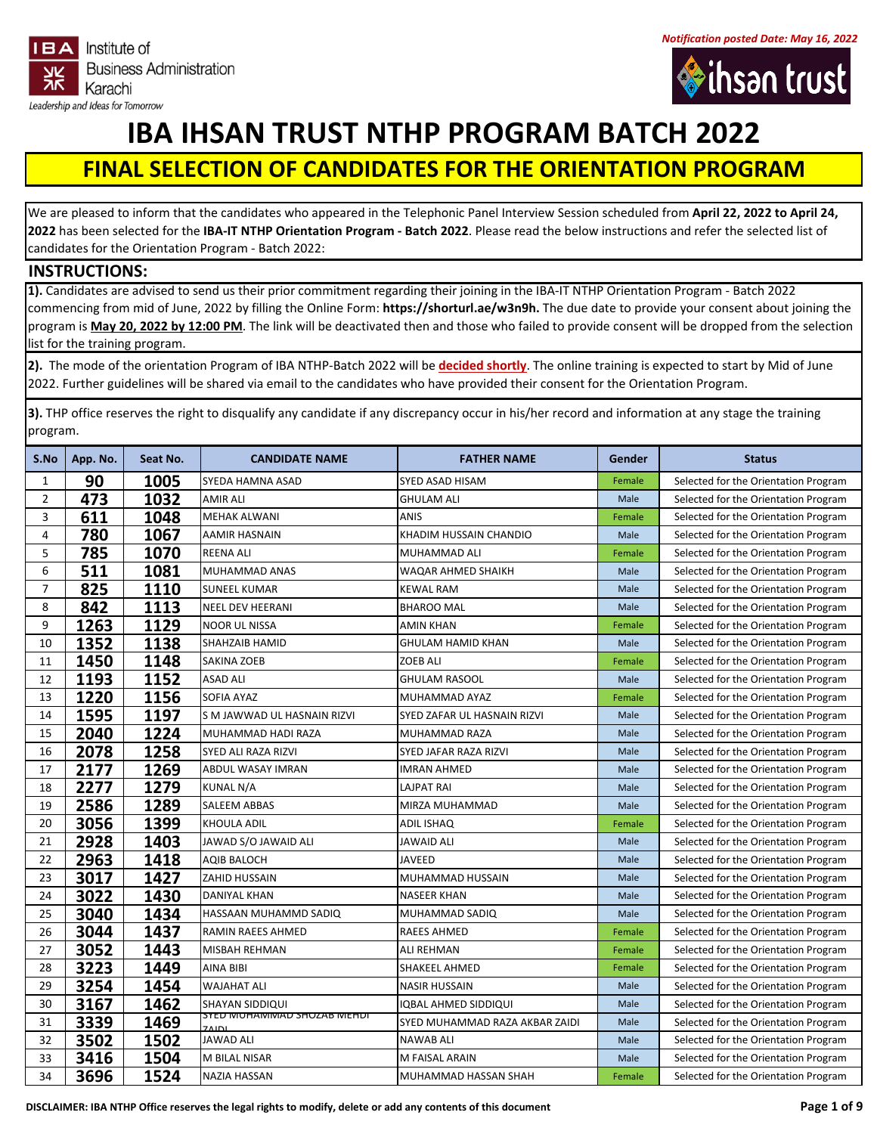





## **IBA IHSAN TRUST NTHP PROGRAM BATCH 2022**

## **FINAL SELECTION OF CANDIDATES FOR THE ORIENTATION PROGRAM**

We are pleased to inform that the candidates who appeared in the Telephonic Panel Interview Session scheduled from **April 22, 2022 to April 24,**  has been selected for the **IBA‐IT NTHP Orientation Program ‐ Batch 2022**. Please read the below instructions and refer the selected list of candidates for the Orientation Program ‐ Batch 2022:

## **INSTRUCTIONS:**

**1).** Candidates are advised to send us their prior commitment regarding their joining in the IBA‐IT NTHP Orientation Program ‐ Batch 2022 commencing from mid of June, 2022 by filling the Online Form: **https://shorturl.ae/w3n9h.** The due date to provide your consent about joining the program is **May 20, 2022 by 12:00 PM**. The link will be deactivated then and those who failed to provide consent will be dropped from the selection list for the training program.

**2).** The mode of the orientation Program of IBA NTHP‐Batch 2022 will be **decided shortly**. The online training is expected to start by Mid of June 2022. Further guidelines will be shared via email to the candidates who have provided their consent for the Orientation Program.

**3).** THP office reserves the right to disqualify any candidate if any discrepancy occur in his/her record and information at any stage the training program.

| S.No | App. No. | Seat No. | <b>CANDIDATE NAME</b>                              | <b>FATHER NAME</b>             | Gender | <b>Status</b>                        |
|------|----------|----------|----------------------------------------------------|--------------------------------|--------|--------------------------------------|
| 1    | 90       | 1005     | SYEDA HAMNA ASAD                                   | SYED ASAD HISAM                | Female | Selected for the Orientation Program |
| 2    | 473      | 1032     | AMIR ALI                                           | <b>GHULAM ALI</b>              | Male   | Selected for the Orientation Program |
| 3    | 611      | 1048     | <b>MEHAK ALWANI</b>                                | <b>ANIS</b>                    | Female | Selected for the Orientation Program |
| 4    | 780      | 1067     | <b>AAMIR HASNAIN</b>                               | KHADIM HUSSAIN CHANDIO         | Male   | Selected for the Orientation Program |
| 5    | 785      | 1070     | <b>REENA ALI</b>                                   | MUHAMMAD ALI                   | Female | Selected for the Orientation Program |
| 6    | 511      | 1081     | MUHAMMAD ANAS                                      | WAQAR AHMED SHAIKH             | Male   | Selected for the Orientation Program |
| 7    | 825      | 1110     | <b>SUNEEL KUMAR</b>                                | KEWAL RAM                      | Male   | Selected for the Orientation Program |
| 8    | 842      | 1113     | <b>NEEL DEV HEERANI</b>                            | <b>BHAROO MAL</b>              | Male   | Selected for the Orientation Program |
| 9    | 1263     | 1129     | <b>NOOR UL NISSA</b>                               | AMIN KHAN                      | Female | Selected for the Orientation Program |
| 10   | 1352     | 1138     | SHAHZAIB HAMID                                     | <b>GHULAM HAMID KHAN</b>       | Male   | Selected for the Orientation Program |
| 11   | 1450     | 1148     | <b>SAKINA ZOEB</b>                                 | <b>ZOEB ALI</b>                | Female | Selected for the Orientation Program |
| 12   | 1193     | 1152     | <b>ASAD ALI</b>                                    | <b>GHULAM RASOOL</b>           | Male   | Selected for the Orientation Program |
| 13   | 1220     | 1156     | <b>SOFIA AYAZ</b>                                  | <b>MUHAMMAD AYAZ</b>           | Female | Selected for the Orientation Program |
| 14   | 1595     | 1197     | S M JAWWAD UL HASNAIN RIZVI                        | SYED ZAFAR UL HASNAIN RIZVI    | Male   | Selected for the Orientation Program |
| 15   | 2040     | 1224     | MUHAMMAD HADI RAZA                                 | MUHAMMAD RAZA                  | Male   | Selected for the Orientation Program |
| 16   | 2078     | 1258     | SYED ALI RAZA RIZVI                                | <b>SYED JAFAR RAZA RIZVI</b>   | Male   | Selected for the Orientation Program |
| 17   | 2177     | 1269     | ABDUL WASAY IMRAN                                  | <b>IMRAN AHMED</b>             | Male   | Selected for the Orientation Program |
| 18   | 2277     | 1279     | KUNAL N/A                                          | <b>LAJPAT RAI</b>              | Male   | Selected for the Orientation Program |
| 19   | 2586     | 1289     | SALEEM ABBAS                                       | MIRZA MUHAMMAD                 | Male   | Selected for the Orientation Program |
| 20   | 3056     | 1399     | KHOULA ADIL                                        | ADIL ISHAQ                     | Female | Selected for the Orientation Program |
| 21   | 2928     | 1403     | JAWAD S/O JAWAID ALI                               | JAWAID ALI                     | Male   | Selected for the Orientation Program |
| 22   | 2963     | 1418     | <b>AQIB BALOCH</b>                                 | <b>JAVEED</b>                  | Male   | Selected for the Orientation Program |
| 23   | 3017     | 1427     | <b>ZAHID HUSSAIN</b>                               | MUHAMMAD HUSSAIN               | Male   | Selected for the Orientation Program |
| 24   | 3022     | 1430     | <b>DANIYAL KHAN</b>                                | <b>NASEER KHAN</b>             | Male   | Selected for the Orientation Program |
| 25   | 3040     | 1434     | HASSAAN MUHAMMD SADIQ                              | MUHAMMAD SADIQ                 | Male   | Selected for the Orientation Program |
| 26   | 3044     | 1437     | RAMIN RAEES AHMED                                  | <b>RAEES AHMED</b>             | Female | Selected for the Orientation Program |
| 27   | 3052     | 1443     | <b>MISBAH REHMAN</b>                               | ALI REHMAN                     | Female | Selected for the Orientation Program |
| 28   | 3223     | 1449     | AINA BIBI                                          | SHAKEEL AHMED                  | Female | Selected for the Orientation Program |
| 29   | 3254     | 1454     | <b>WAJAHAT ALI</b>                                 | <b>NASIR HUSSAIN</b>           | Male   | Selected for the Orientation Program |
| 30   | 3167     | 1462     | SHAYAN SIDDIQUI                                    | IQBAL AHMED SIDDIQUI           | Male   | Selected for the Orientation Program |
| 31   | 3339     | 1469     | <u>SYED MUHAMIMAD SHOZAB MEHDI</u><br><b>7AINI</b> | SYED MUHAMMAD RAZA AKBAR ZAIDI | Male   | Selected for the Orientation Program |
| 32   | 3502     | 1502     | <b>JAWAD ALI</b>                                   | <b>NAWAB ALI</b>               | Male   | Selected for the Orientation Program |
| 33   | 3416     | 1504     | M BILAL NISAR                                      | M FAISAL ARAIN                 | Male   | Selected for the Orientation Program |
| 34   | 3696     | 1524     | <b>NAZIA HASSAN</b>                                | MUHAMMAD HASSAN SHAH           | Female | Selected for the Orientation Program |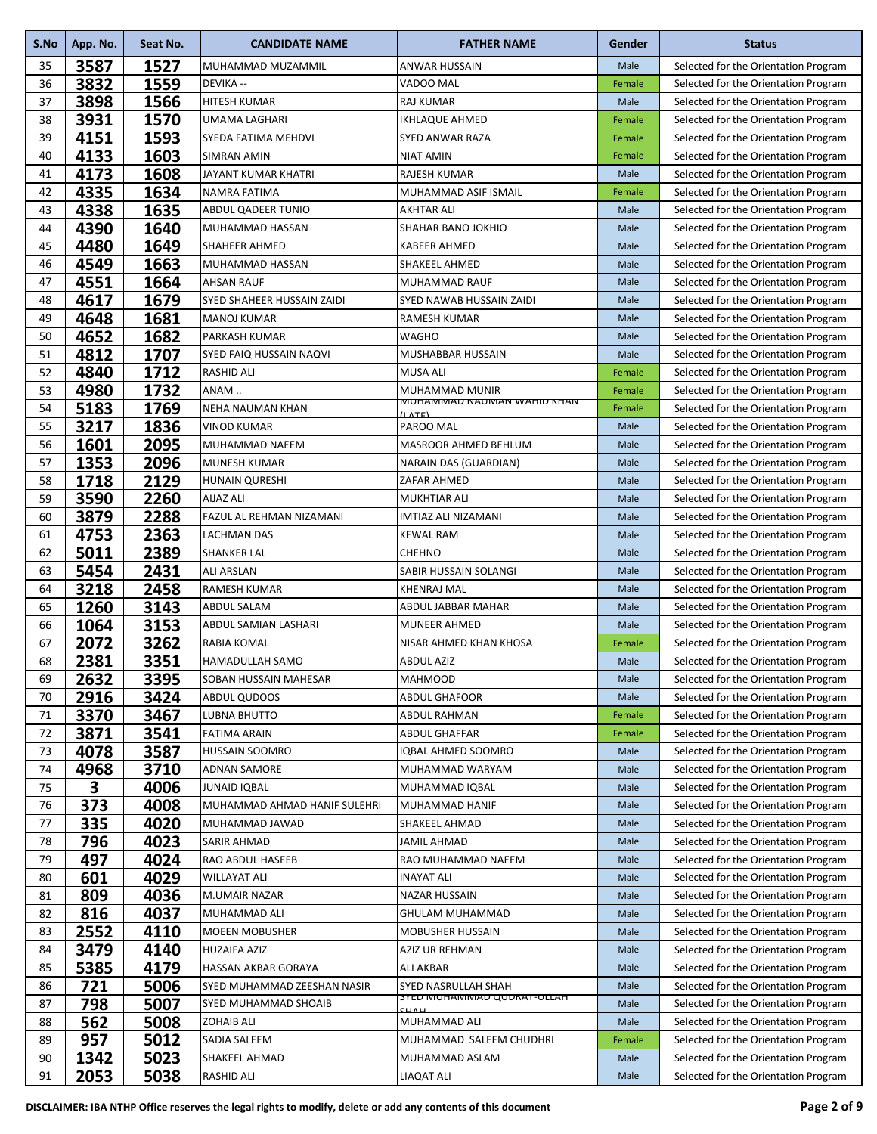| S.No | App. No. | Seat No. | <b>CANDIDATE NAME</b>        | <b>FATHER NAME</b>                                   | Gender | <b>Status</b>                        |
|------|----------|----------|------------------------------|------------------------------------------------------|--------|--------------------------------------|
| 35   | 3587     | 1527     | MUHAMMAD MUZAMMIL            | ANWAR HUSSAIN                                        | Male   | Selected for the Orientation Program |
| 36   | 3832     | 1559     | <b>DEVIKA --</b>             | VADOO MAL                                            | Female | Selected for the Orientation Program |
| 37   | 3898     | 1566     | <b>HITESH KUMAR</b>          | <b>RAJ KUMAR</b>                                     | Male   | Selected for the Orientation Program |
| 38   | 3931     | 1570     | UMAMA LAGHARI                | IKHLAQUE AHMED                                       | Female | Selected for the Orientation Program |
| 39   | 4151     | 1593     | SYEDA FATIMA MEHDVI          | SYED ANWAR RAZA                                      | Female | Selected for the Orientation Program |
| 40   | 4133     | 1603     | SIMRAN AMIN                  | <b>NIAT AMIN</b>                                     | Female | Selected for the Orientation Program |
| 41   | 4173     | 1608     | JAYANT KUMAR KHATRI          | RAJESH KUMAR                                         | Male   | Selected for the Orientation Program |
| 42   | 4335     | 1634     | <b>NAMRA FATIMA</b>          | MUHAMMAD ASIF ISMAIL                                 | Female | Selected for the Orientation Program |
| 43   | 4338     | 1635     | <b>ABDUL QADEER TUNIO</b>    | AKHTAR ALI                                           | Male   | Selected for the Orientation Program |
| 44   | 4390     | 1640     | MUHAMMAD HASSAN              | SHAHAR BANO JOKHIO                                   | Male   | Selected for the Orientation Program |
| 45   | 4480     | 1649     | <b>SHAHEER AHMED</b>         | <b>KABEER AHMED</b>                                  | Male   | Selected for the Orientation Program |
| 46   | 4549     | 1663     | MUHAMMAD HASSAN              | SHAKEEL AHMED                                        | Male   | Selected for the Orientation Program |
| 47   | 4551     | 1664     | <b>AHSAN RAUF</b>            | MUHAMMAD RAUF                                        | Male   | Selected for the Orientation Program |
| 48   | 4617     | 1679     | SYED SHAHEER HUSSAIN ZAIDI   | SYED NAWAB HUSSAIN ZAIDI                             | Male   | Selected for the Orientation Program |
| 49   | 4648     | 1681     | <b>MANOJ KUMAR</b>           | RAMESH KUMAR                                         | Male   | Selected for the Orientation Program |
| 50   | 4652     | 1682     | <b>PARKASH KUMAR</b>         | WAGHO                                                | Male   | Selected for the Orientation Program |
| 51   | 4812     | 1707     | SYED FAIQ HUSSAIN NAQVI      | MUSHABBAR HUSSAIN                                    | Male   | Selected for the Orientation Program |
| 52   | 4840     | 1712     | <b>RASHID ALI</b>            | <b>MUSA ALI</b>                                      | Female | Selected for the Orientation Program |
| 53   | 4980     | 1732     | ANAM                         | <b>MUHAMMAD MUNIR</b>                                | Female | Selected for the Orientation Program |
| 54   | 5183     | 1769     | <b>NEHA NAUMAN KHAN</b>      | <b>IVIUHAIVIIVIAU NAUIVIAN WAHIU KHAIV</b><br>(IMTE) | Female | Selected for the Orientation Program |
| 55   | 3217     | 1836     | VINOD KUMAR                  | PAROO MAL                                            | Male   | Selected for the Orientation Program |
| 56   | 1601     | 2095     | MUHAMMAD NAEEM               | MASROOR AHMED BEHLUM                                 | Male   | Selected for the Orientation Program |
| 57   | 1353     | 2096     | <b>MUNESH KUMAR</b>          | NARAIN DAS (GUARDIAN)                                | Male   | Selected for the Orientation Program |
| 58   | 1718     | 2129     | <b>HUNAIN QURESHI</b>        | ZAFAR AHMED                                          | Male   | Selected for the Orientation Program |
| 59   | 3590     | 2260     | AIJAZ ALI                    | MUKHTIAR ALI                                         | Male   | Selected for the Orientation Program |
| 60   | 3879     | 2288     | FAZUL AL REHMAN NIZAMANI     | IMTIAZ ALI NIZAMANI                                  | Male   | Selected for the Orientation Program |
| 61   | 4753     | 2363     | <b>LACHMAN DAS</b>           | <b>KEWAL RAM</b>                                     | Male   | Selected for the Orientation Program |
| 62   | 5011     | 2389     | <b>SHANKER LAL</b>           | <b>CHEHNO</b>                                        | Male   | Selected for the Orientation Program |
| 63   | 5454     | 2431     | <b>ALI ARSLAN</b>            | SABIR HUSSAIN SOLANGI                                | Male   | Selected for the Orientation Program |
| 64   | 3218     | 2458     | <b>RAMESH KUMAR</b>          | <b>KHENRAJ MAL</b>                                   | Male   | Selected for the Orientation Program |
| 65   | 1260     | 3143     | <b>ABDUL SALAM</b>           | ABDUL JABBAR MAHAR                                   | Male   | Selected for the Orientation Program |
| 66   | 1064     | 3153     | ABDUL SAMIAN LASHARI         | <b>MUNEER AHMED</b>                                  | Male   | Selected for the Orientation Program |
| 67   | 2072     | 3262     | <b>RABIA KOMAL</b>           | NISAR AHMED KHAN KHOSA                               | Female | Selected for the Orientation Program |
| 68   | 2381     | 3351     | HAMADULLAH SAMO              | ABDUL AZIZ                                           | Male   | Selected for the Orientation Program |
| 69   | 2632     | 3395     | SOBAN HUSSAIN MAHESAR        | <b>MAHMOOD</b>                                       | Male   | Selected for the Orientation Program |
| 70   | 2916     | 3424     | ABDUL QUDOOS                 | ABDUL GHAFOOR                                        | Male   | Selected for the Orientation Program |
| 71   | 3370     | 3467     | LUBNA BHUTTO                 | ABDUL RAHMAN                                         | Female | Selected for the Orientation Program |
| 72   | 3871     | 3541     | <b>FATIMA ARAIN</b>          | ABDUL GHAFFAR                                        | Female | Selected for the Orientation Program |
| 73   | 4078     | 3587     | <b>HUSSAIN SOOMRO</b>        | IQBAL AHMED SOOMRO                                   | Male   | Selected for the Orientation Program |
| 74   | 4968     | 3710     | <b>ADNAN SAMORE</b>          | MUHAMMAD WARYAM                                      | Male   | Selected for the Orientation Program |
| 75   | 3        | 4006     | <b>JUNAID IQBAL</b>          | MUHAMMAD IQBAL                                       | Male   | Selected for the Orientation Program |
| 76   | 373      | 4008     | MUHAMMAD AHMAD HANIF SULEHRI | MUHAMMAD HANIF                                       | Male   | Selected for the Orientation Program |
| 77   | 335      | 4020     | MUHAMMAD JAWAD               | SHAKEEL AHMAD                                        | Male   | Selected for the Orientation Program |
| 78   | 796      | 4023     | SARIR AHMAD                  | JAMIL AHMAD                                          | Male   | Selected for the Orientation Program |
| 79   | 497      | 4024     | RAO ABDUL HASEEB             | RAO MUHAMMAD NAEEM                                   | Male   | Selected for the Orientation Program |
| 80   | 601      | 4029     | <b>WILLAYAT ALI</b>          | <b>INAYAT ALI</b>                                    | Male   | Selected for the Orientation Program |
| 81   | 809      | 4036     | M.UMAIR NAZAR                | <b>NAZAR HUSSAIN</b>                                 | Male   | Selected for the Orientation Program |
| 82   | 816      | 4037     | MUHAMMAD ALI                 | <b>GHULAM MUHAMMAD</b>                               | Male   | Selected for the Orientation Program |
| 83   | 2552     | 4110     | <b>MOEEN MOBUSHER</b>        | <b>MOBUSHER HUSSAIN</b>                              | Male   | Selected for the Orientation Program |
| 84   | 3479     | 4140     | <b>HUZAIFA AZIZ</b>          | AZIZ UR REHMAN                                       | Male   | Selected for the Orientation Program |
| 85   | 5385     | 4179     | HASSAN AKBAR GORAYA          | ALI AKBAR                                            | Male   | Selected for the Orientation Program |
| 86   | 721      | 5006     | SYED MUHAMMAD ZEESHAN NASIR  | SYED NASRULLAH SHAH                                  | Male   | Selected for the Orientation Program |
| 87   | 798      | 5007     | SYED MUHAMMAD SHOAIB         | SYED MUHAMINIAD QUDRAT-ULLAH<br>CUAL                 | Male   | Selected for the Orientation Program |
| 88   | 562      | 5008     | <b>ZOHAIB ALI</b>            | MUHAMMAD ALI                                         | Male   | Selected for the Orientation Program |
| 89   | 957      | 5012     | SADIA SALEEM                 | MUHAMMAD SALEEM CHUDHRI                              | Female | Selected for the Orientation Program |
| 90   | 1342     | 5023     | SHAKEEL AHMAD                | MUHAMMAD ASLAM                                       | Male   | Selected for the Orientation Program |
| 91   | 2053     | 5038     | RASHID ALI                   | LIAQAT ALI                                           | Male   | Selected for the Orientation Program |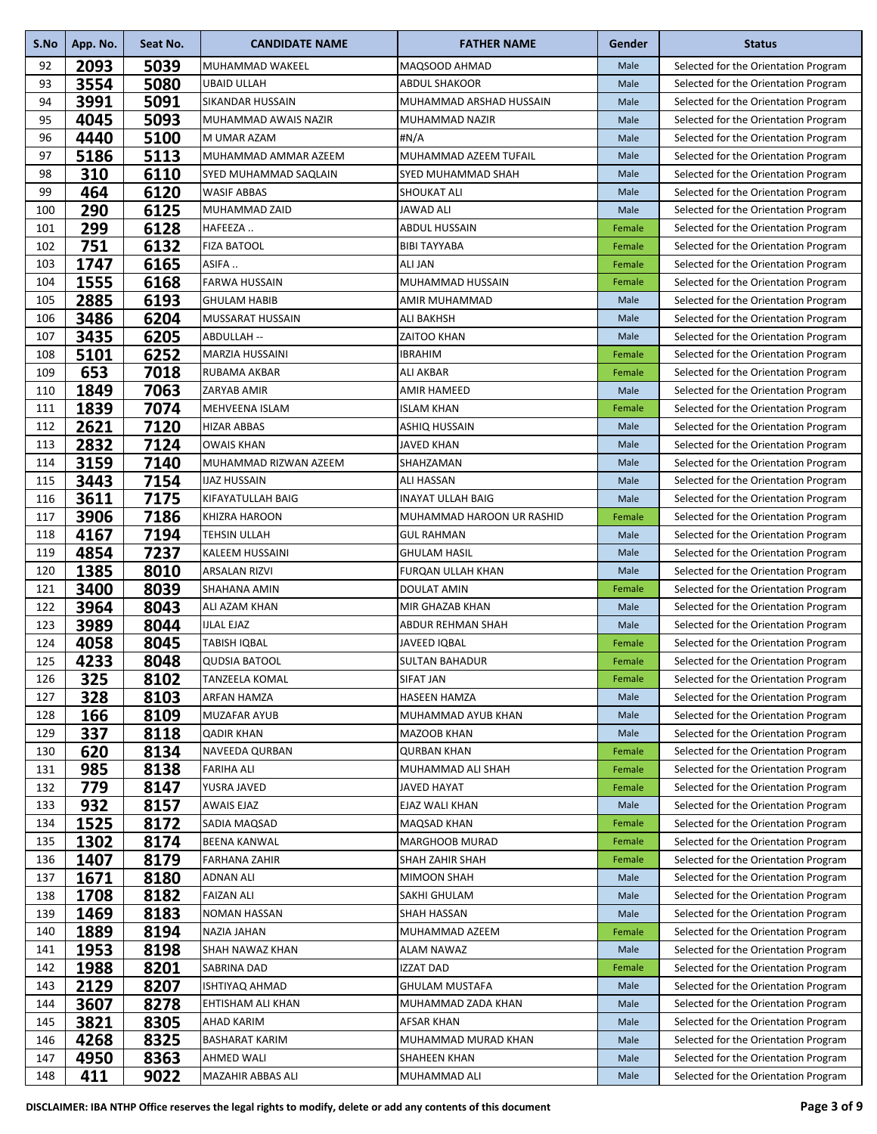| S.No | App. No. | Seat No. | <b>CANDIDATE NAME</b>   | <b>FATHER NAME</b>        | Gender | <b>Status</b>                        |
|------|----------|----------|-------------------------|---------------------------|--------|--------------------------------------|
| 92   | 2093     | 5039     | MUHAMMAD WAKEEL         | MAQSOOD AHMAD             | Male   | Selected for the Orientation Program |
| 93   | 3554     | 5080     | <b>UBAID ULLAH</b>      | <b>ABDUL SHAKOOR</b>      | Male   | Selected for the Orientation Program |
| 94   | 3991     | 5091     | SIKANDAR HUSSAIN        | MUHAMMAD ARSHAD HUSSAIN   | Male   | Selected for the Orientation Program |
| 95   | 4045     | 5093     | MUHAMMAD AWAIS NAZIR    | MUHAMMAD NAZIR            | Male   | Selected for the Orientation Program |
| 96   | 4440     | 5100     | M UMAR AZAM             | #N/A                      | Male   | Selected for the Orientation Program |
| 97   | 5186     | 5113     | MUHAMMAD AMMAR AZEEM    | MUHAMMAD AZEEM TUFAIL     | Male   | Selected for the Orientation Program |
| 98   | 310      | 6110     | SYED MUHAMMAD SAQLAIN   | SYED MUHAMMAD SHAH        | Male   | Selected for the Orientation Program |
| 99   | 464      | 6120     | <b>WASIF ABBAS</b>      | <b>SHOUKAT ALI</b>        | Male   | Selected for the Orientation Program |
| 100  | 290      | 6125     | MUHAMMAD ZAID           | <b>JAWAD ALI</b>          | Male   | Selected for the Orientation Program |
| 101  | 299      | 6128     | HAFEEZA                 | <b>ABDUL HUSSAIN</b>      | Female | Selected for the Orientation Program |
| 102  | 751      | 6132     | <b>FIZA BATOOL</b>      | <b>BIBI TAYYABA</b>       | Female | Selected for the Orientation Program |
| 103  | 1747     | 6165     | ASIFA                   | <b>ALI JAN</b>            | Female | Selected for the Orientation Program |
| 104  | 1555     | 6168     | <b>FARWA HUSSAIN</b>    | MUHAMMAD HUSSAIN          | Female | Selected for the Orientation Program |
| 105  | 2885     | 6193     | <b>GHULAM HABIB</b>     | AMIR MUHAMMAD             | Male   | Selected for the Orientation Program |
| 106  | 3486     | 6204     | <b>MUSSARAT HUSSAIN</b> | <b>ALI BAKHSH</b>         | Male   | Selected for the Orientation Program |
| 107  | 3435     | 6205     | ABDULLAH --             | <b>ZAITOO KHAN</b>        | Male   | Selected for the Orientation Program |
| 108  | 5101     | 6252     | <b>MARZIA HUSSAINI</b>  | <b>IBRAHIM</b>            | Female | Selected for the Orientation Program |
| 109  | 653      | 7018     | RUBAMA AKBAR            | <b>ALI AKBAR</b>          | Female | Selected for the Orientation Program |
| 110  | 1849     | 7063     | ZARYAB AMIR             | <b>AMIR HAMEED</b>        | Male   | Selected for the Orientation Program |
| 111  | 1839     | 7074     | MEHVEENA ISLAM          | <b>ISLAM KHAN</b>         | Female | Selected for the Orientation Program |
| 112  | 2621     | 7120     | <b>HIZAR ABBAS</b>      | <b>ASHIQ HUSSAIN</b>      | Male   | Selected for the Orientation Program |
| 113  | 2832     | 7124     | <b>OWAIS KHAN</b>       | <b>JAVED KHAN</b>         | Male   | Selected for the Orientation Program |
| 114  | 3159     | 7140     | MUHAMMAD RIZWAN AZEEM   | SHAHZAMAN                 | Male   | Selected for the Orientation Program |
| 115  | 3443     | 7154     | <b>IJAZ HUSSAIN</b>     | <b>ALI HASSAN</b>         | Male   | Selected for the Orientation Program |
| 116  | 3611     | 7175     | KIFAYATULLAH BAIG       | <b>INAYAT ULLAH BAIG</b>  | Male   | Selected for the Orientation Program |
| 117  | 3906     | 7186     | KHIZRA HAROON           | MUHAMMAD HAROON UR RASHID | Female | Selected for the Orientation Program |
| 118  | 4167     | 7194     | <b>TEHSIN ULLAH</b>     | <b>GUL RAHMAN</b>         | Male   | Selected for the Orientation Program |
| 119  | 4854     | 7237     | <b>KALEEM HUSSAINI</b>  | <b>GHULAM HASIL</b>       | Male   | Selected for the Orientation Program |
| 120  | 1385     | 8010     | <b>ARSALAN RIZVI</b>    | <b>FURQAN ULLAH KHAN</b>  | Male   | Selected for the Orientation Program |
| 121  | 3400     | 8039     | SHAHANA AMIN            | <b>DOULAT AMIN</b>        | Female | Selected for the Orientation Program |
| 122  | 3964     | 8043     | ALI AZAM KHAN           | MIR GHAZAB KHAN           | Male   | Selected for the Orientation Program |
| 123  | 3989     | 8044     | <b>IJLAL EJAZ</b>       | <b>ABDUR REHMAN SHAH</b>  | Male   | Selected for the Orientation Program |
| 124  | 4058     | 8045     | TABISH IQBAL            | JAVEED IQBAL              | Female | Selected for the Orientation Program |
| 125  | 4233     | 8048     | <b>QUDSIA BATOOL</b>    | <b>SULTAN BAHADUR</b>     | Female | Selected for the Orientation Program |
| 126  | 325      | 8102     | TANZEELA KOMAL          | <b>SIFAT JAN</b>          | Female | Selected for the Orientation Program |
| 127  | 328      | 8103     | ARFAN HAMZA             | <b>HASEEN HAMZA</b>       | Male   | Selected for the Orientation Program |
| 128  | 166      | 8109     | <b>MUZAFAR AYUB</b>     | MUHAMMAD AYUB KHAN        | Male   | Selected for the Orientation Program |
| 129  | 337      | 8118     | <b>QADIR KHAN</b>       | <b>MAZOOB KHAN</b>        | Male   | Selected for the Orientation Program |
| 130  | 620      | 8134     | <b>NAVEEDA QURBAN</b>   | <b>QURBAN KHAN</b>        | Female | Selected for the Orientation Program |
| 131  | 985      | 8138     | <b>FARIHA ALI</b>       | MUHAMMAD ALI SHAH         | Female | Selected for the Orientation Program |
| 132  | 779      | 8147     | YUSRA JAVED             | <b>JAVED HAYAT</b>        | Female | Selected for the Orientation Program |
| 133  | 932      | 8157     | <b>AWAIS EJAZ</b>       | EJAZ WALI KHAN            | Male   | Selected for the Orientation Program |
| 134  | 1525     | 8172     | SADIA MAQSAD            | <b>MAQSAD KHAN</b>        | Female | Selected for the Orientation Program |
| 135  | 1302     | 8174     | <b>BEENA KANWAL</b>     | <b>MARGHOOB MURAD</b>     | Female | Selected for the Orientation Program |
| 136  | 1407     | 8179     | FARHANA ZAHIR           | <b>SHAH ZAHIR SHAH</b>    | Female | Selected for the Orientation Program |
| 137  | 1671     | 8180     | <b>ADNAN ALI</b>        | <b>MIMOON SHAH</b>        | Male   | Selected for the Orientation Program |
| 138  | 1708     | 8182     | <b>FAIZAN ALI</b>       | SAKHI GHULAM              | Male   | Selected for the Orientation Program |
| 139  | 1469     | 8183     | <b>NOMAN HASSAN</b>     | SHAH HASSAN               | Male   | Selected for the Orientation Program |
| 140  | 1889     | 8194     | <b>NAZIA JAHAN</b>      | MUHAMMAD AZEEM            | Female | Selected for the Orientation Program |
| 141  | 1953     | 8198     | SHAH NAWAZ KHAN         | ALAM NAWAZ                | Male   | Selected for the Orientation Program |
| 142  | 1988     | 8201     | SABRINA DAD             | <b>IZZAT DAD</b>          | Female | Selected for the Orientation Program |
| 143  | 2129     | 8207     | <b>ISHTIYAQ AHMAD</b>   | <b>GHULAM MUSTAFA</b>     | Male   | Selected for the Orientation Program |
| 144  | 3607     | 8278     | EHTISHAM ALI KHAN       | MUHAMMAD ZADA KHAN        | Male   | Selected for the Orientation Program |
| 145  | 3821     | 8305     | <b>AHAD KARIM</b>       | <b>AFSAR KHAN</b>         | Male   | Selected for the Orientation Program |
| 146  | 4268     | 8325     | <b>BASHARAT KARIM</b>   | MUHAMMAD MURAD KHAN       | Male   | Selected for the Orientation Program |
| 147  | 4950     | 8363     | AHMED WALI              | SHAHEEN KHAN              | Male   | Selected for the Orientation Program |
| 148  | 411      | 9022     | MAZAHIR ABBAS ALI       | MUHAMMAD ALI              | Male   | Selected for the Orientation Program |
|      |          |          |                         |                           |        |                                      |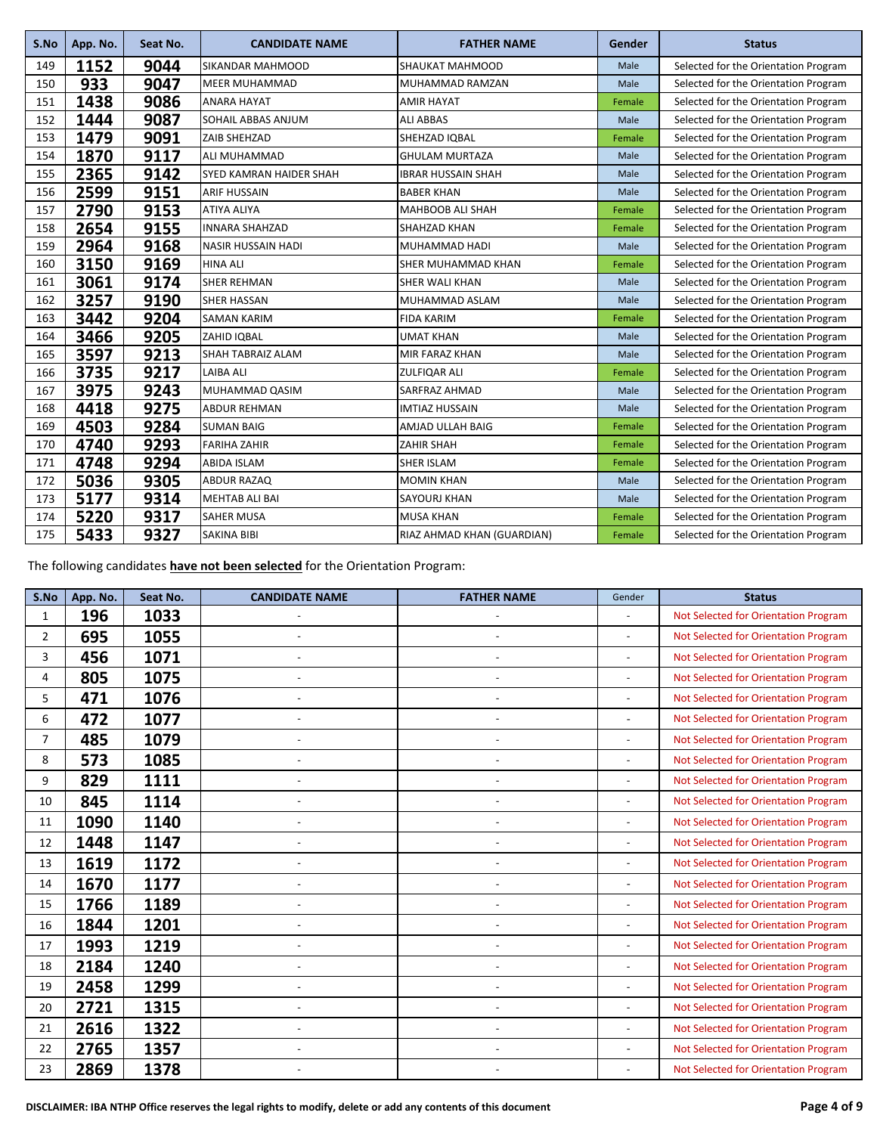| S.No | App. No. | Seat No. | <b>CANDIDATE NAME</b>          | <b>FATHER NAME</b>         | Gender | <b>Status</b>                        |
|------|----------|----------|--------------------------------|----------------------------|--------|--------------------------------------|
| 149  | 1152     | 9044     | <b>SIKANDAR MAHMOOD</b>        | SHAUKAT MAHMOOD            | Male   | Selected for the Orientation Program |
| 150  | 933      | 9047     | <b>MEER MUHAMMAD</b>           | MUHAMMAD RAMZAN            | Male   | Selected for the Orientation Program |
| 151  | 1438     | 9086     | <b>ANARA HAYAT</b>             | <b>AMIR HAYAT</b>          | Female | Selected for the Orientation Program |
| 152  | 1444     | 9087     | SOHAIL ABBAS ANJUM             | <b>ALI ABBAS</b>           | Male   | Selected for the Orientation Program |
| 153  | 1479     | 9091     | ZAIB SHEHZAD                   | SHEHZAD IQBAL              | Female | Selected for the Orientation Program |
| 154  | 1870     | 9117     | ALI MUHAMMAD                   | <b>GHULAM MURTAZA</b>      | Male   | Selected for the Orientation Program |
| 155  | 2365     | 9142     | <b>SYED KAMRAN HAIDER SHAH</b> | <b>IBRAR HUSSAIN SHAH</b>  | Male   | Selected for the Orientation Program |
| 156  | 2599     | 9151     | <b>ARIF HUSSAIN</b>            | <b>BABER KHAN</b>          | Male   | Selected for the Orientation Program |
| 157  | 2790     | 9153     | <b>ATIYA ALIYA</b>             | <b>MAHBOOB ALI SHAH</b>    | Female | Selected for the Orientation Program |
| 158  | 2654     | 9155     | <b>INNARA SHAHZAD</b>          | SHAHZAD KHAN               | Female | Selected for the Orientation Program |
| 159  | 2964     | 9168     | <b>NASIR HUSSAIN HADI</b>      | MUHAMMAD HADI              | Male   | Selected for the Orientation Program |
| 160  | 3150     | 9169     | <b>HINA ALI</b>                | <b>SHER MUHAMMAD KHAN</b>  | Female | Selected for the Orientation Program |
| 161  | 3061     | 9174     | <b>SHER REHMAN</b>             | <b>SHER WALI KHAN</b>      | Male   | Selected for the Orientation Program |
| 162  | 3257     | 9190     | <b>SHER HASSAN</b>             | MUHAMMAD ASLAM             | Male   | Selected for the Orientation Program |
| 163  | 3442     | 9204     | <b>SAMAN KARIM</b>             | <b>FIDA KARIM</b>          | Female | Selected for the Orientation Program |
| 164  | 3466     | 9205     | ZAHID IQBAL                    | <b>UMAT KHAN</b>           | Male   | Selected for the Orientation Program |
| 165  | 3597     | 9213     | <b>SHAH TABRAIZ ALAM</b>       | MIR FARAZ KHAN             | Male   | Selected for the Orientation Program |
| 166  | 3735     | 9217     | <b>LAIBA ALI</b>               | <b>ZULFIQAR ALI</b>        | Female | Selected for the Orientation Program |
| 167  | 3975     | 9243     | MUHAMMAD QASIM                 | SARFRAZ AHMAD              | Male   | Selected for the Orientation Program |
| 168  | 4418     | 9275     | <b>ABDUR REHMAN</b>            | <b>IMTIAZ HUSSAIN</b>      | Male   | Selected for the Orientation Program |
| 169  | 4503     | 9284     | <b>SUMAN BAIG</b>              | AMJAD ULLAH BAIG           | Female | Selected for the Orientation Program |
| 170  | 4740     | 9293     | <b>FARIHA ZAHIR</b>            | <b>ZAHIR SHAH</b>          | Female | Selected for the Orientation Program |
| 171  | 4748     | 9294     | <b>ABIDA ISLAM</b>             | <b>SHER ISLAM</b>          | Female | Selected for the Orientation Program |
| 172  | 5036     | 9305     | <b>ABDUR RAZAQ</b>             | <b>MOMIN KHAN</b>          | Male   | Selected for the Orientation Program |
| 173  | 5177     | 9314     | <b>MEHTAB ALI BAI</b>          | <b>SAYOURJ KHAN</b>        | Male   | Selected for the Orientation Program |
| 174  | 5220     | 9317     | <b>SAHER MUSA</b>              | <b>MUSA KHAN</b>           | Female | Selected for the Orientation Program |
| 175  | 5433     | 9327     | <b>SAKINA BIBI</b>             | RIAZ AHMAD KHAN (GUARDIAN) | Female | Selected for the Orientation Program |

The following candidates **have not been selected** for the Orientation Program:

| S.No           | App. No. | Seat No. | <b>CANDIDATE NAME</b>    | <b>FATHER NAME</b>       | Gender                   | <b>Status</b>                        |
|----------------|----------|----------|--------------------------|--------------------------|--------------------------|--------------------------------------|
| $\mathbf{1}$   | 196      | 1033     |                          |                          | $\blacksquare$           | Not Selected for Orientation Program |
| $\overline{2}$ | 695      | 1055     | $\overline{\phantom{a}}$ |                          | $\overline{\phantom{a}}$ | Not Selected for Orientation Program |
| 3              | 456      | 1071     | $\overline{a}$           |                          |                          | Not Selected for Orientation Program |
| 4              | 805      | 1075     | $\sim$                   |                          |                          | Not Selected for Orientation Program |
| 5              | 471      | 1076     | $\overline{a}$           |                          |                          | Not Selected for Orientation Program |
| 6              | 472      | 1077     |                          |                          |                          | Not Selected for Orientation Program |
| $\overline{7}$ | 485      | 1079     |                          |                          |                          | Not Selected for Orientation Program |
| 8              | 573      | 1085     |                          |                          |                          | Not Selected for Orientation Program |
| 9              | 829      | 1111     | ٠                        |                          |                          | Not Selected for Orientation Program |
| 10             | 845      | 1114     | $\sim$                   | $\overline{\phantom{a}}$ |                          | Not Selected for Orientation Program |
| 11             | 1090     | 1140     | ÷,                       |                          |                          | Not Selected for Orientation Program |
| 12             | 1448     | 1147     | $\overline{a}$           |                          |                          | Not Selected for Orientation Program |
| 13             | 1619     | 1172     |                          |                          |                          | Not Selected for Orientation Program |
| 14             | 1670     | 1177     |                          | $\overline{a}$           |                          | Not Selected for Orientation Program |
| 15             | 1766     | 1189     |                          |                          |                          | Not Selected for Orientation Program |
| 16             | 1844     | 1201     |                          |                          |                          | Not Selected for Orientation Program |
| 17             | 1993     | 1219     | ÷,                       |                          |                          | Not Selected for Orientation Program |
| 18             | 2184     | 1240     | ٠                        | $\overline{\phantom{a}}$ |                          | Not Selected for Orientation Program |
| 19             | 2458     | 1299     | $\overline{\phantom{a}}$ |                          |                          | Not Selected for Orientation Program |
| 20             | 2721     | 1315     | $\overline{\phantom{a}}$ | $\overline{\phantom{a}}$ |                          | Not Selected for Orientation Program |
| 21             | 2616     | 1322     |                          |                          |                          | Not Selected for Orientation Program |
| 22             | 2765     | 1357     |                          |                          |                          | Not Selected for Orientation Program |
| 23             | 2869     | 1378     |                          |                          |                          | Not Selected for Orientation Program |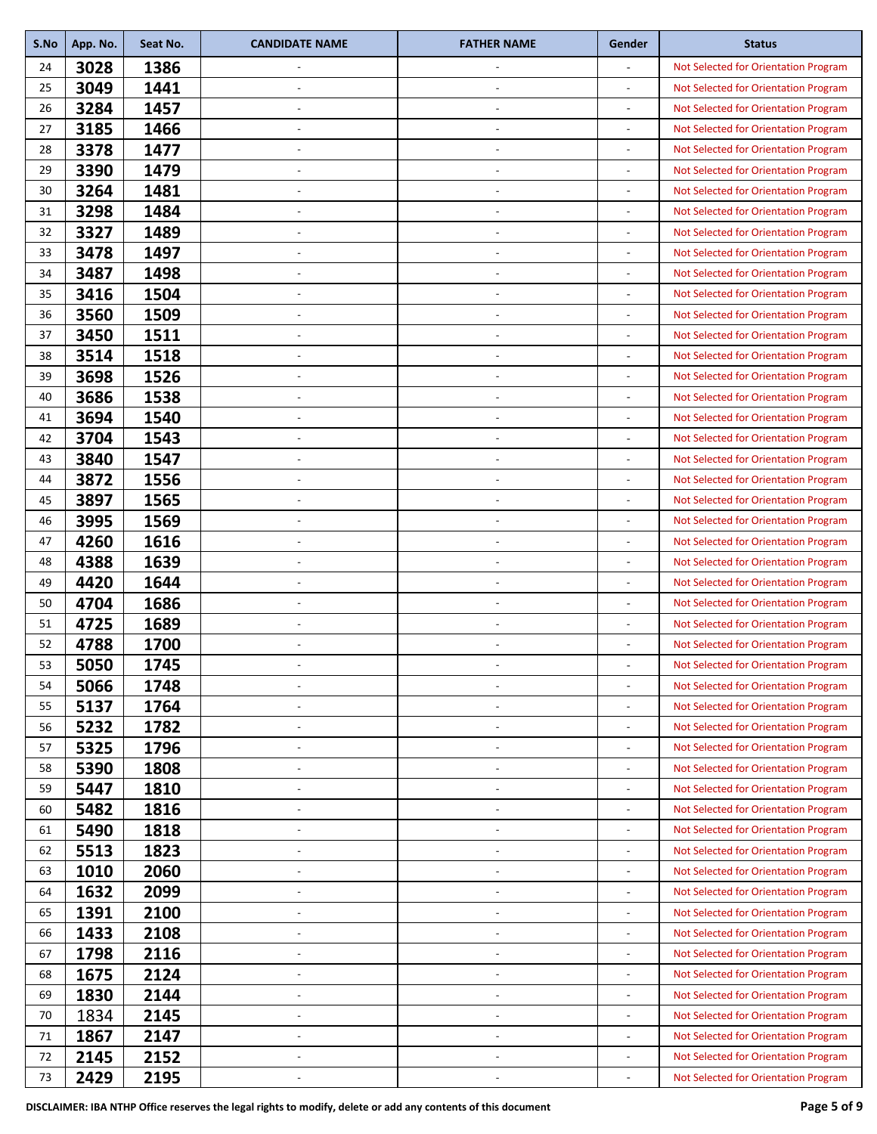| S.No | App. No. | Seat No. | <b>CANDIDATE NAME</b>    | <b>FATHER NAME</b>       | Gender                       | <b>Status</b>                        |
|------|----------|----------|--------------------------|--------------------------|------------------------------|--------------------------------------|
| 24   | 3028     | 1386     |                          | $\overline{\phantom{a}}$ | L,                           | Not Selected for Orientation Program |
| 25   | 3049     | 1441     | $\overline{\phantom{a}}$ | $\overline{\phantom{a}}$ | $\overline{a}$               | Not Selected for Orientation Program |
| 26   | 3284     | 1457     |                          |                          | $\overline{a}$               | Not Selected for Orientation Program |
| 27   | 3185     | 1466     | ٠                        | $\overline{\phantom{a}}$ | $\overline{a}$               | Not Selected for Orientation Program |
| 28   | 3378     | 1477     |                          |                          | $\overline{a}$               | Not Selected for Orientation Program |
| 29   | 3390     | 1479     | $\overline{\phantom{a}}$ | $\overline{\phantom{a}}$ |                              | Not Selected for Orientation Program |
| 30   | 3264     | 1481     | ÷,                       | $\blacksquare$           | $\overline{a}$               | Not Selected for Orientation Program |
| 31   | 3298     | 1484     |                          |                          |                              | Not Selected for Orientation Program |
| 32   | 3327     | 1489     | ٠                        |                          | ÷,                           | Not Selected for Orientation Program |
| 33   | 3478     | 1497     |                          |                          | $\overline{a}$               | Not Selected for Orientation Program |
| 34   | 3487     | 1498     | $\overline{\phantom{a}}$ | $\overline{\phantom{a}}$ |                              | Not Selected for Orientation Program |
| 35   | 3416     | 1504     | ÷,                       | $\overline{\phantom{a}}$ | $\overline{a}$               | Not Selected for Orientation Program |
| 36   | 3560     | 1509     |                          |                          |                              | Not Selected for Orientation Program |
| 37   | 3450     | 1511     | $\overline{a}$           |                          | $\overline{\phantom{a}}$     | Not Selected for Orientation Program |
| 38   | 3514     | 1518     |                          |                          | $\overline{a}$               | Not Selected for Orientation Program |
| 39   | 3698     | 1526     | $\overline{\phantom{a}}$ | $\overline{\phantom{a}}$ |                              | Not Selected for Orientation Program |
| 40   | 3686     | 1538     | ٠                        | $\overline{\phantom{a}}$ | $\overline{a}$               | Not Selected for Orientation Program |
| 41   | 3694     | 1540     |                          |                          | $\overline{a}$               | Not Selected for Orientation Program |
| 42   | 3704     | 1543     | ٠                        | $\overline{\phantom{a}}$ | $\overline{a}$               | Not Selected for Orientation Program |
| 43   | 3840     | 1547     |                          |                          | L,                           | Not Selected for Orientation Program |
| 44   | 3872     | 1556     | $\overline{\phantom{a}}$ | $\overline{\phantom{a}}$ |                              | Not Selected for Orientation Program |
| 45   | 3897     | 1565     | $\overline{\phantom{a}}$ | $\blacksquare$           | $\overline{a}$               | Not Selected for Orientation Program |
|      | 3995     | 1569     |                          |                          |                              |                                      |
| 46   |          |          |                          |                          | ÷,                           | Not Selected for Orientation Program |
| 47   | 4260     | 1616     | ٠                        |                          |                              | Not Selected for Orientation Program |
| 48   | 4388     | 1639     |                          |                          | $\overline{a}$               | Not Selected for Orientation Program |
| 49   | 4420     | 1644     | $\overline{\phantom{a}}$ | $\overline{\phantom{a}}$ |                              | Not Selected for Orientation Program |
| 50   | 4704     | 1686     | $\overline{\phantom{a}}$ | $\overline{\phantom{a}}$ | $\overline{a}$               | Not Selected for Orientation Program |
| 51   | 4725     | 1689     |                          |                          |                              | Not Selected for Orientation Program |
| 52   | 4788     | 1700     | ٠                        |                          | $\overline{a}$               | Not Selected for Orientation Program |
| 53   | 5050     | 1745     |                          |                          |                              | Not Selected for Orientation Program |
| 54   | 5066     | 1748     |                          | $\overline{\phantom{a}}$ |                              | Not Selected for Orientation Program |
| 55   | 5137     | 1764     | ٠                        | $\overline{\phantom{a}}$ | $\overline{a}$               | Not Selected for Orientation Program |
| 56   | 5232     | 1782     |                          |                          | -                            | Not Selected for Orientation Program |
| 57   | 5325     | 1796     | $\overline{\phantom{a}}$ | $\overline{\phantom{a}}$ | $\qquad \qquad \blacksquare$ | Not Selected for Orientation Program |
| 58   | 5390     | 1808     |                          |                          | $\overline{a}$               | Not Selected for Orientation Program |
| 59   | 5447     | 1810     | $\overline{\phantom{a}}$ | $\overline{\phantom{a}}$ |                              | Not Selected for Orientation Program |
| 60   | 5482     | 1816     | ٠                        | $\overline{\phantom{a}}$ | $\overline{a}$               | Not Selected for Orientation Program |
| 61   | 5490     | 1818     |                          |                          |                              | Not Selected for Orientation Program |
| 62   | 5513     | 1823     | $\overline{a}$           | $\overline{\phantom{a}}$ | $\overline{\phantom{a}}$     | Not Selected for Orientation Program |
| 63   | 1010     | 2060     |                          |                          | ÷,                           | Not Selected for Orientation Program |
| 64   | 1632     | 2099     | ÷,                       | $\overline{\phantom{a}}$ |                              | Not Selected for Orientation Program |
| 65   | 1391     | 2100     | ٠                        | $\overline{\phantom{a}}$ | $\overline{\phantom{a}}$     | Not Selected for Orientation Program |
| 66   | 1433     | 2108     | $\overline{\phantom{a}}$ |                          |                              | Not Selected for Orientation Program |
| 67   | 1798     | 2116     | $\overline{\phantom{a}}$ | $\overline{\phantom{a}}$ | $\overline{a}$               | Not Selected for Orientation Program |
| 68   | 1675     | 2124     |                          |                          | $\overline{a}$               | Not Selected for Orientation Program |
| 69   | 1830     | 2144     | $\overline{\phantom{a}}$ | $\overline{\phantom{a}}$ |                              | Not Selected for Orientation Program |
| 70   | 1834     | 2145     | $\overline{\phantom{a}}$ | $\overline{\phantom{a}}$ | $\overline{a}$               | Not Selected for Orientation Program |
| 71   | 1867     | 2147     | $\overline{\phantom{a}}$ | $\overline{\phantom{a}}$ | $\overline{a}$               | Not Selected for Orientation Program |
| 72   | 2145     | 2152     | ٠                        | $\overline{\phantom{a}}$ | $\overline{a}$               | Not Selected for Orientation Program |
| 73   | 2429     | 2195     |                          |                          | $\overline{a}$               | Not Selected for Orientation Program |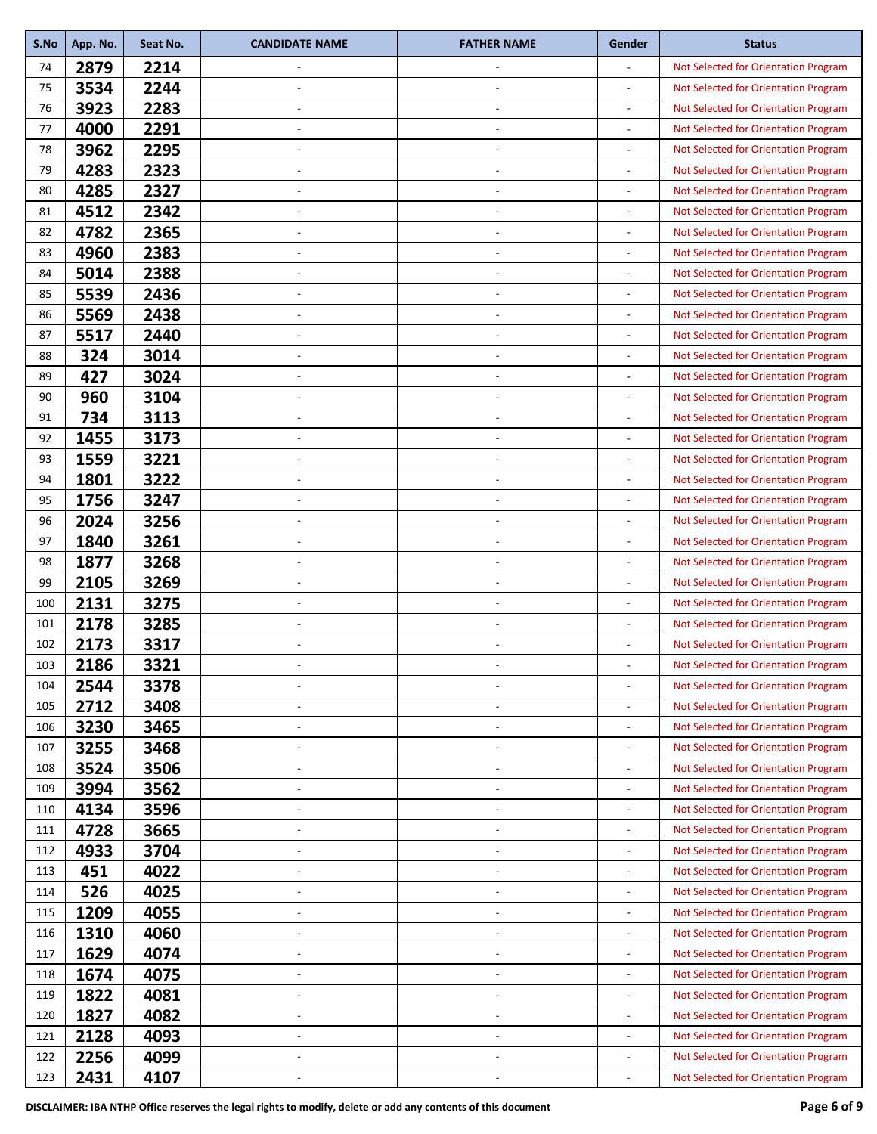| 2879<br>2214<br>Not Selected for Orientation Program<br>74<br>3534<br>2244<br>75<br>Not Selected for Orientation Program<br>$\overline{\phantom{a}}$<br>$\overline{\phantom{a}}$<br>3923<br>2283<br>76<br>Not Selected for Orientation Program<br>$\overline{a}$<br>4000<br>2291<br>Not Selected for Orientation Program<br>77<br>$\overline{\phantom{a}}$<br>$\overline{\phantom{a}}$<br>-<br>3962<br>2295<br>78<br>Not Selected for Orientation Program<br>÷,<br>4283<br>2323<br>79<br>Not Selected for Orientation Program<br>4285<br>2327<br>80<br>Not Selected for Orientation Program<br>$\overline{\phantom{a}}$<br>$\overline{\phantom{a}}$<br>$\overline{a}$<br>4512<br>2342<br>81<br>Not Selected for Orientation Program<br>$\overline{a}$<br>4782<br>2365<br>82<br>Not Selected for Orientation Program<br>$\overline{\phantom{a}}$<br>$\overline{\phantom{a}}$<br>-<br>4960<br>2383<br>83<br>Not Selected for Orientation Program<br>$\overline{a}$<br>5014<br>2388<br>84<br>Not Selected for Orientation Program<br>5539<br>2436<br>85<br>Not Selected for Orientation Program<br>$\overline{\phantom{a}}$<br>$\overline{\phantom{a}}$<br>$\overline{a}$<br>5569<br>2438<br>86<br>Not Selected for Orientation Program<br>L,<br>5517<br>2440<br>Not Selected for Orientation Program<br>87<br>$\overline{\phantom{a}}$<br>$\overline{\phantom{a}}$<br>$\overline{a}$<br>324<br>3014<br>88<br>Not Selected for Orientation Program<br>$\overline{a}$<br>427<br>3024<br>89<br>Not Selected for Orientation Program<br>960<br>3104<br>90<br>Not Selected for Orientation Program<br>$\overline{\phantom{a}}$<br>$\overline{\phantom{a}}$<br>$\overline{a}$<br>734<br>3113<br>91<br>Not Selected for Orientation Program<br>$\overline{a}$<br>1455<br>3173<br>92<br>Not Selected for Orientation Program<br>$\overline{\phantom{a}}$<br>$\overline{\phantom{a}}$<br>$\overline{a}$<br>1559<br>3221<br>93<br>Not Selected for Orientation Program<br>$\overline{a}$<br>1801<br>3222<br>Not Selected for Orientation Program<br>94<br>1756<br>3247<br>95<br>Not Selected for Orientation Program<br>$\overline{\phantom{a}}$<br>$\overline{\phantom{a}}$<br>$\overline{a}$<br>2024<br>3256<br>96<br>Not Selected for Orientation Program<br>$\overline{a}$<br>3261<br>1840<br>Not Selected for Orientation Program<br>97<br>$\overline{\phantom{a}}$<br>$\overline{\phantom{a}}$<br>$\overline{a}$<br>1877<br>3268<br>98<br>Not Selected for Orientation Program<br>÷,<br>2105<br>3269<br>99<br>Not Selected for Orientation Program<br>2131<br>3275<br>100<br>Not Selected for Orientation Program<br>$\overline{\phantom{a}}$<br>$\overline{\phantom{a}}$<br>$\overline{a}$<br>2178<br>3285<br>101<br>Not Selected for Orientation Program<br>L,<br>2173<br>3317<br>102<br>Not Selected for Orientation Program<br>$\overline{\phantom{a}}$<br>$\overline{\phantom{a}}$<br>2186<br>3321<br>103<br>Not Selected for Orientation Program<br>2544<br>3378<br>Not Selected for Orientation Program<br>104<br>$\overline{a}$<br>2712<br>3408<br>105<br>Not Selected for Orientation Program<br>$\overline{\phantom{a}}$<br>$\overline{\phantom{a}}$<br>$\overline{\phantom{a}}$<br>3230<br>3465<br>106<br>Not Selected for Orientation Program<br>$\overline{a}$<br>$\overline{\phantom{a}}$<br>$\overline{\phantom{a}}$<br>3255<br>3468<br>Not Selected for Orientation Program<br>107<br>$\overline{\phantom{a}}$<br>$\overline{\phantom{a}}$<br>$\qquad \qquad \blacksquare$<br>3524<br>3506<br>108<br>Not Selected for Orientation Program<br>$\qquad \qquad \blacksquare$<br>$\overline{\phantom{a}}$<br>3994<br>3562<br>109<br>Not Selected for Orientation Program<br>4134<br>3596<br>Not Selected for Orientation Program<br>110<br>$\overline{\phantom{a}}$<br>$\overline{\phantom{a}}$<br>$\overline{\phantom{a}}$<br>4728<br>3665<br>111<br>Not Selected for Orientation Program<br>$\overline{a}$<br>$\overline{\phantom{a}}$<br>$\overline{\phantom{a}}$<br>4933<br>3704<br>112<br>Not Selected for Orientation Program<br>$\overline{\phantom{a}}$<br>$\overline{\phantom{a}}$<br>$\qquad \qquad \blacksquare$<br>451<br>4022<br>113<br>Not Selected for Orientation Program<br>$\frac{1}{2}$<br>$\overline{\phantom{a}}$<br>$\blacksquare$<br>526<br>4025<br>114<br>Not Selected for Orientation Program<br>$\overline{\phantom{a}}$<br>$\overline{\phantom{a}}$<br>1209<br>4055<br>115<br>Not Selected for Orientation Program<br>$\overline{a}$<br>$\overline{\phantom{a}}$<br>$\overline{\phantom{a}}$<br>1310<br>4060<br>116<br>Not Selected for Orientation Program<br>$\overline{a}$<br>$\overline{\phantom{a}}$<br>$\overline{\phantom{a}}$<br>1629<br>4074<br>Not Selected for Orientation Program<br>117<br>$\overline{\phantom{a}}$<br>$\overline{\phantom{a}}$<br>$\qquad \qquad \blacksquare$<br>1674<br>4075<br>118<br>Not Selected for Orientation Program<br>$\overline{a}$<br>$\sim$<br>$\blacksquare$<br>1822<br>4081<br>119<br>Not Selected for Orientation Program<br>1827<br>4082<br>120<br>Not Selected for Orientation Program<br>$\overline{\phantom{a}}$<br>$\overline{\phantom{a}}$<br>$\overline{\phantom{a}}$<br>2128<br>4093<br>Not Selected for Orientation Program<br>121<br>$\overline{\phantom{a}}$<br>$\overline{a}$<br>$\overline{\phantom{a}}$<br>2256<br>4099<br>122<br>Not Selected for Orientation Program<br>$\overline{\phantom{a}}$<br>$\overline{\phantom{a}}$<br>$\overline{\phantom{0}}$ | S.No | App. No. | Seat No. | <b>CANDIDATE NAME</b> | <b>FATHER NAME</b> | Gender | <b>Status</b> |
|----------------------------------------------------------------------------------------------------------------------------------------------------------------------------------------------------------------------------------------------------------------------------------------------------------------------------------------------------------------------------------------------------------------------------------------------------------------------------------------------------------------------------------------------------------------------------------------------------------------------------------------------------------------------------------------------------------------------------------------------------------------------------------------------------------------------------------------------------------------------------------------------------------------------------------------------------------------------------------------------------------------------------------------------------------------------------------------------------------------------------------------------------------------------------------------------------------------------------------------------------------------------------------------------------------------------------------------------------------------------------------------------------------------------------------------------------------------------------------------------------------------------------------------------------------------------------------------------------------------------------------------------------------------------------------------------------------------------------------------------------------------------------------------------------------------------------------------------------------------------------------------------------------------------------------------------------------------------------------------------------------------------------------------------------------------------------------------------------------------------------------------------------------------------------------------------------------------------------------------------------------------------------------------------------------------------------------------------------------------------------------------------------------------------------------------------------------------------------------------------------------------------------------------------------------------------------------------------------------------------------------------------------------------------------------------------------------------------------------------------------------------------------------------------------------------------------------------------------------------------------------------------------------------------------------------------------------------------------------------------------------------------------------------------------------------------------------------------------------------------------------------------------------------------------------------------------------------------------------------------------------------------------------------------------------------------------------------------------------------------------------------------------------------------------------------------------------------------------------------------------------------------------------------------------------------------------------------------------------------------------------------------------------------------------------------------------------------------------------------------------------------------------------------------------------------------------------------------------------------------------------------------------------------------------------------------------------------------------------------------------------------------------------------------------------------------------------------------------------------------------------------------------------------------------------------------------------------------------------------------------------------------------------------------------------------------------------------------------------------------------------------------------------------------------------------------------------------------------------------------------------------------------------------------------------------------------------------------------------------------------------------------------------------------------------------------------------------------------------------------------------------------------------------------------------------------------------------------------------------------------------------------------------------------------------------------------------------------------------------------------------------------------------------------------------------------------------------------------------------------------------------------------------------------------------------------------------------------------------------------------------------------------------------------------------------------------------------------------------------------------------------------------------------------------------------------------------|------|----------|----------|-----------------------|--------------------|--------|---------------|
|                                                                                                                                                                                                                                                                                                                                                                                                                                                                                                                                                                                                                                                                                                                                                                                                                                                                                                                                                                                                                                                                                                                                                                                                                                                                                                                                                                                                                                                                                                                                                                                                                                                                                                                                                                                                                                                                                                                                                                                                                                                                                                                                                                                                                                                                                                                                                                                                                                                                                                                                                                                                                                                                                                                                                                                                                                                                                                                                                                                                                                                                                                                                                                                                                                                                                                                                                                                                                                                                                                                                                                                                                                                                                                                                                                                                                                                                                                                                                                                                                                                                                                                                                                                                                                                                                                                                                                                                                                                                                                                                                                                                                                                                                                                                                                                                                                                                                                                                                                                                                                                                                                                                                                                                                                                                                                                                                                                                                                                          |      |          |          |                       |                    |        |               |
|                                                                                                                                                                                                                                                                                                                                                                                                                                                                                                                                                                                                                                                                                                                                                                                                                                                                                                                                                                                                                                                                                                                                                                                                                                                                                                                                                                                                                                                                                                                                                                                                                                                                                                                                                                                                                                                                                                                                                                                                                                                                                                                                                                                                                                                                                                                                                                                                                                                                                                                                                                                                                                                                                                                                                                                                                                                                                                                                                                                                                                                                                                                                                                                                                                                                                                                                                                                                                                                                                                                                                                                                                                                                                                                                                                                                                                                                                                                                                                                                                                                                                                                                                                                                                                                                                                                                                                                                                                                                                                                                                                                                                                                                                                                                                                                                                                                                                                                                                                                                                                                                                                                                                                                                                                                                                                                                                                                                                                                          |      |          |          |                       |                    |        |               |
|                                                                                                                                                                                                                                                                                                                                                                                                                                                                                                                                                                                                                                                                                                                                                                                                                                                                                                                                                                                                                                                                                                                                                                                                                                                                                                                                                                                                                                                                                                                                                                                                                                                                                                                                                                                                                                                                                                                                                                                                                                                                                                                                                                                                                                                                                                                                                                                                                                                                                                                                                                                                                                                                                                                                                                                                                                                                                                                                                                                                                                                                                                                                                                                                                                                                                                                                                                                                                                                                                                                                                                                                                                                                                                                                                                                                                                                                                                                                                                                                                                                                                                                                                                                                                                                                                                                                                                                                                                                                                                                                                                                                                                                                                                                                                                                                                                                                                                                                                                                                                                                                                                                                                                                                                                                                                                                                                                                                                                                          |      |          |          |                       |                    |        |               |
|                                                                                                                                                                                                                                                                                                                                                                                                                                                                                                                                                                                                                                                                                                                                                                                                                                                                                                                                                                                                                                                                                                                                                                                                                                                                                                                                                                                                                                                                                                                                                                                                                                                                                                                                                                                                                                                                                                                                                                                                                                                                                                                                                                                                                                                                                                                                                                                                                                                                                                                                                                                                                                                                                                                                                                                                                                                                                                                                                                                                                                                                                                                                                                                                                                                                                                                                                                                                                                                                                                                                                                                                                                                                                                                                                                                                                                                                                                                                                                                                                                                                                                                                                                                                                                                                                                                                                                                                                                                                                                                                                                                                                                                                                                                                                                                                                                                                                                                                                                                                                                                                                                                                                                                                                                                                                                                                                                                                                                                          |      |          |          |                       |                    |        |               |
|                                                                                                                                                                                                                                                                                                                                                                                                                                                                                                                                                                                                                                                                                                                                                                                                                                                                                                                                                                                                                                                                                                                                                                                                                                                                                                                                                                                                                                                                                                                                                                                                                                                                                                                                                                                                                                                                                                                                                                                                                                                                                                                                                                                                                                                                                                                                                                                                                                                                                                                                                                                                                                                                                                                                                                                                                                                                                                                                                                                                                                                                                                                                                                                                                                                                                                                                                                                                                                                                                                                                                                                                                                                                                                                                                                                                                                                                                                                                                                                                                                                                                                                                                                                                                                                                                                                                                                                                                                                                                                                                                                                                                                                                                                                                                                                                                                                                                                                                                                                                                                                                                                                                                                                                                                                                                                                                                                                                                                                          |      |          |          |                       |                    |        |               |
|                                                                                                                                                                                                                                                                                                                                                                                                                                                                                                                                                                                                                                                                                                                                                                                                                                                                                                                                                                                                                                                                                                                                                                                                                                                                                                                                                                                                                                                                                                                                                                                                                                                                                                                                                                                                                                                                                                                                                                                                                                                                                                                                                                                                                                                                                                                                                                                                                                                                                                                                                                                                                                                                                                                                                                                                                                                                                                                                                                                                                                                                                                                                                                                                                                                                                                                                                                                                                                                                                                                                                                                                                                                                                                                                                                                                                                                                                                                                                                                                                                                                                                                                                                                                                                                                                                                                                                                                                                                                                                                                                                                                                                                                                                                                                                                                                                                                                                                                                                                                                                                                                                                                                                                                                                                                                                                                                                                                                                                          |      |          |          |                       |                    |        |               |
|                                                                                                                                                                                                                                                                                                                                                                                                                                                                                                                                                                                                                                                                                                                                                                                                                                                                                                                                                                                                                                                                                                                                                                                                                                                                                                                                                                                                                                                                                                                                                                                                                                                                                                                                                                                                                                                                                                                                                                                                                                                                                                                                                                                                                                                                                                                                                                                                                                                                                                                                                                                                                                                                                                                                                                                                                                                                                                                                                                                                                                                                                                                                                                                                                                                                                                                                                                                                                                                                                                                                                                                                                                                                                                                                                                                                                                                                                                                                                                                                                                                                                                                                                                                                                                                                                                                                                                                                                                                                                                                                                                                                                                                                                                                                                                                                                                                                                                                                                                                                                                                                                                                                                                                                                                                                                                                                                                                                                                                          |      |          |          |                       |                    |        |               |
|                                                                                                                                                                                                                                                                                                                                                                                                                                                                                                                                                                                                                                                                                                                                                                                                                                                                                                                                                                                                                                                                                                                                                                                                                                                                                                                                                                                                                                                                                                                                                                                                                                                                                                                                                                                                                                                                                                                                                                                                                                                                                                                                                                                                                                                                                                                                                                                                                                                                                                                                                                                                                                                                                                                                                                                                                                                                                                                                                                                                                                                                                                                                                                                                                                                                                                                                                                                                                                                                                                                                                                                                                                                                                                                                                                                                                                                                                                                                                                                                                                                                                                                                                                                                                                                                                                                                                                                                                                                                                                                                                                                                                                                                                                                                                                                                                                                                                                                                                                                                                                                                                                                                                                                                                                                                                                                                                                                                                                                          |      |          |          |                       |                    |        |               |
|                                                                                                                                                                                                                                                                                                                                                                                                                                                                                                                                                                                                                                                                                                                                                                                                                                                                                                                                                                                                                                                                                                                                                                                                                                                                                                                                                                                                                                                                                                                                                                                                                                                                                                                                                                                                                                                                                                                                                                                                                                                                                                                                                                                                                                                                                                                                                                                                                                                                                                                                                                                                                                                                                                                                                                                                                                                                                                                                                                                                                                                                                                                                                                                                                                                                                                                                                                                                                                                                                                                                                                                                                                                                                                                                                                                                                                                                                                                                                                                                                                                                                                                                                                                                                                                                                                                                                                                                                                                                                                                                                                                                                                                                                                                                                                                                                                                                                                                                                                                                                                                                                                                                                                                                                                                                                                                                                                                                                                                          |      |          |          |                       |                    |        |               |
|                                                                                                                                                                                                                                                                                                                                                                                                                                                                                                                                                                                                                                                                                                                                                                                                                                                                                                                                                                                                                                                                                                                                                                                                                                                                                                                                                                                                                                                                                                                                                                                                                                                                                                                                                                                                                                                                                                                                                                                                                                                                                                                                                                                                                                                                                                                                                                                                                                                                                                                                                                                                                                                                                                                                                                                                                                                                                                                                                                                                                                                                                                                                                                                                                                                                                                                                                                                                                                                                                                                                                                                                                                                                                                                                                                                                                                                                                                                                                                                                                                                                                                                                                                                                                                                                                                                                                                                                                                                                                                                                                                                                                                                                                                                                                                                                                                                                                                                                                                                                                                                                                                                                                                                                                                                                                                                                                                                                                                                          |      |          |          |                       |                    |        |               |
|                                                                                                                                                                                                                                                                                                                                                                                                                                                                                                                                                                                                                                                                                                                                                                                                                                                                                                                                                                                                                                                                                                                                                                                                                                                                                                                                                                                                                                                                                                                                                                                                                                                                                                                                                                                                                                                                                                                                                                                                                                                                                                                                                                                                                                                                                                                                                                                                                                                                                                                                                                                                                                                                                                                                                                                                                                                                                                                                                                                                                                                                                                                                                                                                                                                                                                                                                                                                                                                                                                                                                                                                                                                                                                                                                                                                                                                                                                                                                                                                                                                                                                                                                                                                                                                                                                                                                                                                                                                                                                                                                                                                                                                                                                                                                                                                                                                                                                                                                                                                                                                                                                                                                                                                                                                                                                                                                                                                                                                          |      |          |          |                       |                    |        |               |
|                                                                                                                                                                                                                                                                                                                                                                                                                                                                                                                                                                                                                                                                                                                                                                                                                                                                                                                                                                                                                                                                                                                                                                                                                                                                                                                                                                                                                                                                                                                                                                                                                                                                                                                                                                                                                                                                                                                                                                                                                                                                                                                                                                                                                                                                                                                                                                                                                                                                                                                                                                                                                                                                                                                                                                                                                                                                                                                                                                                                                                                                                                                                                                                                                                                                                                                                                                                                                                                                                                                                                                                                                                                                                                                                                                                                                                                                                                                                                                                                                                                                                                                                                                                                                                                                                                                                                                                                                                                                                                                                                                                                                                                                                                                                                                                                                                                                                                                                                                                                                                                                                                                                                                                                                                                                                                                                                                                                                                                          |      |          |          |                       |                    |        |               |
|                                                                                                                                                                                                                                                                                                                                                                                                                                                                                                                                                                                                                                                                                                                                                                                                                                                                                                                                                                                                                                                                                                                                                                                                                                                                                                                                                                                                                                                                                                                                                                                                                                                                                                                                                                                                                                                                                                                                                                                                                                                                                                                                                                                                                                                                                                                                                                                                                                                                                                                                                                                                                                                                                                                                                                                                                                                                                                                                                                                                                                                                                                                                                                                                                                                                                                                                                                                                                                                                                                                                                                                                                                                                                                                                                                                                                                                                                                                                                                                                                                                                                                                                                                                                                                                                                                                                                                                                                                                                                                                                                                                                                                                                                                                                                                                                                                                                                                                                                                                                                                                                                                                                                                                                                                                                                                                                                                                                                                                          |      |          |          |                       |                    |        |               |
|                                                                                                                                                                                                                                                                                                                                                                                                                                                                                                                                                                                                                                                                                                                                                                                                                                                                                                                                                                                                                                                                                                                                                                                                                                                                                                                                                                                                                                                                                                                                                                                                                                                                                                                                                                                                                                                                                                                                                                                                                                                                                                                                                                                                                                                                                                                                                                                                                                                                                                                                                                                                                                                                                                                                                                                                                                                                                                                                                                                                                                                                                                                                                                                                                                                                                                                                                                                                                                                                                                                                                                                                                                                                                                                                                                                                                                                                                                                                                                                                                                                                                                                                                                                                                                                                                                                                                                                                                                                                                                                                                                                                                                                                                                                                                                                                                                                                                                                                                                                                                                                                                                                                                                                                                                                                                                                                                                                                                                                          |      |          |          |                       |                    |        |               |
|                                                                                                                                                                                                                                                                                                                                                                                                                                                                                                                                                                                                                                                                                                                                                                                                                                                                                                                                                                                                                                                                                                                                                                                                                                                                                                                                                                                                                                                                                                                                                                                                                                                                                                                                                                                                                                                                                                                                                                                                                                                                                                                                                                                                                                                                                                                                                                                                                                                                                                                                                                                                                                                                                                                                                                                                                                                                                                                                                                                                                                                                                                                                                                                                                                                                                                                                                                                                                                                                                                                                                                                                                                                                                                                                                                                                                                                                                                                                                                                                                                                                                                                                                                                                                                                                                                                                                                                                                                                                                                                                                                                                                                                                                                                                                                                                                                                                                                                                                                                                                                                                                                                                                                                                                                                                                                                                                                                                                                                          |      |          |          |                       |                    |        |               |
|                                                                                                                                                                                                                                                                                                                                                                                                                                                                                                                                                                                                                                                                                                                                                                                                                                                                                                                                                                                                                                                                                                                                                                                                                                                                                                                                                                                                                                                                                                                                                                                                                                                                                                                                                                                                                                                                                                                                                                                                                                                                                                                                                                                                                                                                                                                                                                                                                                                                                                                                                                                                                                                                                                                                                                                                                                                                                                                                                                                                                                                                                                                                                                                                                                                                                                                                                                                                                                                                                                                                                                                                                                                                                                                                                                                                                                                                                                                                                                                                                                                                                                                                                                                                                                                                                                                                                                                                                                                                                                                                                                                                                                                                                                                                                                                                                                                                                                                                                                                                                                                                                                                                                                                                                                                                                                                                                                                                                                                          |      |          |          |                       |                    |        |               |
|                                                                                                                                                                                                                                                                                                                                                                                                                                                                                                                                                                                                                                                                                                                                                                                                                                                                                                                                                                                                                                                                                                                                                                                                                                                                                                                                                                                                                                                                                                                                                                                                                                                                                                                                                                                                                                                                                                                                                                                                                                                                                                                                                                                                                                                                                                                                                                                                                                                                                                                                                                                                                                                                                                                                                                                                                                                                                                                                                                                                                                                                                                                                                                                                                                                                                                                                                                                                                                                                                                                                                                                                                                                                                                                                                                                                                                                                                                                                                                                                                                                                                                                                                                                                                                                                                                                                                                                                                                                                                                                                                                                                                                                                                                                                                                                                                                                                                                                                                                                                                                                                                                                                                                                                                                                                                                                                                                                                                                                          |      |          |          |                       |                    |        |               |
|                                                                                                                                                                                                                                                                                                                                                                                                                                                                                                                                                                                                                                                                                                                                                                                                                                                                                                                                                                                                                                                                                                                                                                                                                                                                                                                                                                                                                                                                                                                                                                                                                                                                                                                                                                                                                                                                                                                                                                                                                                                                                                                                                                                                                                                                                                                                                                                                                                                                                                                                                                                                                                                                                                                                                                                                                                                                                                                                                                                                                                                                                                                                                                                                                                                                                                                                                                                                                                                                                                                                                                                                                                                                                                                                                                                                                                                                                                                                                                                                                                                                                                                                                                                                                                                                                                                                                                                                                                                                                                                                                                                                                                                                                                                                                                                                                                                                                                                                                                                                                                                                                                                                                                                                                                                                                                                                                                                                                                                          |      |          |          |                       |                    |        |               |
|                                                                                                                                                                                                                                                                                                                                                                                                                                                                                                                                                                                                                                                                                                                                                                                                                                                                                                                                                                                                                                                                                                                                                                                                                                                                                                                                                                                                                                                                                                                                                                                                                                                                                                                                                                                                                                                                                                                                                                                                                                                                                                                                                                                                                                                                                                                                                                                                                                                                                                                                                                                                                                                                                                                                                                                                                                                                                                                                                                                                                                                                                                                                                                                                                                                                                                                                                                                                                                                                                                                                                                                                                                                                                                                                                                                                                                                                                                                                                                                                                                                                                                                                                                                                                                                                                                                                                                                                                                                                                                                                                                                                                                                                                                                                                                                                                                                                                                                                                                                                                                                                                                                                                                                                                                                                                                                                                                                                                                                          |      |          |          |                       |                    |        |               |
|                                                                                                                                                                                                                                                                                                                                                                                                                                                                                                                                                                                                                                                                                                                                                                                                                                                                                                                                                                                                                                                                                                                                                                                                                                                                                                                                                                                                                                                                                                                                                                                                                                                                                                                                                                                                                                                                                                                                                                                                                                                                                                                                                                                                                                                                                                                                                                                                                                                                                                                                                                                                                                                                                                                                                                                                                                                                                                                                                                                                                                                                                                                                                                                                                                                                                                                                                                                                                                                                                                                                                                                                                                                                                                                                                                                                                                                                                                                                                                                                                                                                                                                                                                                                                                                                                                                                                                                                                                                                                                                                                                                                                                                                                                                                                                                                                                                                                                                                                                                                                                                                                                                                                                                                                                                                                                                                                                                                                                                          |      |          |          |                       |                    |        |               |
|                                                                                                                                                                                                                                                                                                                                                                                                                                                                                                                                                                                                                                                                                                                                                                                                                                                                                                                                                                                                                                                                                                                                                                                                                                                                                                                                                                                                                                                                                                                                                                                                                                                                                                                                                                                                                                                                                                                                                                                                                                                                                                                                                                                                                                                                                                                                                                                                                                                                                                                                                                                                                                                                                                                                                                                                                                                                                                                                                                                                                                                                                                                                                                                                                                                                                                                                                                                                                                                                                                                                                                                                                                                                                                                                                                                                                                                                                                                                                                                                                                                                                                                                                                                                                                                                                                                                                                                                                                                                                                                                                                                                                                                                                                                                                                                                                                                                                                                                                                                                                                                                                                                                                                                                                                                                                                                                                                                                                                                          |      |          |          |                       |                    |        |               |
|                                                                                                                                                                                                                                                                                                                                                                                                                                                                                                                                                                                                                                                                                                                                                                                                                                                                                                                                                                                                                                                                                                                                                                                                                                                                                                                                                                                                                                                                                                                                                                                                                                                                                                                                                                                                                                                                                                                                                                                                                                                                                                                                                                                                                                                                                                                                                                                                                                                                                                                                                                                                                                                                                                                                                                                                                                                                                                                                                                                                                                                                                                                                                                                                                                                                                                                                                                                                                                                                                                                                                                                                                                                                                                                                                                                                                                                                                                                                                                                                                                                                                                                                                                                                                                                                                                                                                                                                                                                                                                                                                                                                                                                                                                                                                                                                                                                                                                                                                                                                                                                                                                                                                                                                                                                                                                                                                                                                                                                          |      |          |          |                       |                    |        |               |
|                                                                                                                                                                                                                                                                                                                                                                                                                                                                                                                                                                                                                                                                                                                                                                                                                                                                                                                                                                                                                                                                                                                                                                                                                                                                                                                                                                                                                                                                                                                                                                                                                                                                                                                                                                                                                                                                                                                                                                                                                                                                                                                                                                                                                                                                                                                                                                                                                                                                                                                                                                                                                                                                                                                                                                                                                                                                                                                                                                                                                                                                                                                                                                                                                                                                                                                                                                                                                                                                                                                                                                                                                                                                                                                                                                                                                                                                                                                                                                                                                                                                                                                                                                                                                                                                                                                                                                                                                                                                                                                                                                                                                                                                                                                                                                                                                                                                                                                                                                                                                                                                                                                                                                                                                                                                                                                                                                                                                                                          |      |          |          |                       |                    |        |               |
|                                                                                                                                                                                                                                                                                                                                                                                                                                                                                                                                                                                                                                                                                                                                                                                                                                                                                                                                                                                                                                                                                                                                                                                                                                                                                                                                                                                                                                                                                                                                                                                                                                                                                                                                                                                                                                                                                                                                                                                                                                                                                                                                                                                                                                                                                                                                                                                                                                                                                                                                                                                                                                                                                                                                                                                                                                                                                                                                                                                                                                                                                                                                                                                                                                                                                                                                                                                                                                                                                                                                                                                                                                                                                                                                                                                                                                                                                                                                                                                                                                                                                                                                                                                                                                                                                                                                                                                                                                                                                                                                                                                                                                                                                                                                                                                                                                                                                                                                                                                                                                                                                                                                                                                                                                                                                                                                                                                                                                                          |      |          |          |                       |                    |        |               |
|                                                                                                                                                                                                                                                                                                                                                                                                                                                                                                                                                                                                                                                                                                                                                                                                                                                                                                                                                                                                                                                                                                                                                                                                                                                                                                                                                                                                                                                                                                                                                                                                                                                                                                                                                                                                                                                                                                                                                                                                                                                                                                                                                                                                                                                                                                                                                                                                                                                                                                                                                                                                                                                                                                                                                                                                                                                                                                                                                                                                                                                                                                                                                                                                                                                                                                                                                                                                                                                                                                                                                                                                                                                                                                                                                                                                                                                                                                                                                                                                                                                                                                                                                                                                                                                                                                                                                                                                                                                                                                                                                                                                                                                                                                                                                                                                                                                                                                                                                                                                                                                                                                                                                                                                                                                                                                                                                                                                                                                          |      |          |          |                       |                    |        |               |
|                                                                                                                                                                                                                                                                                                                                                                                                                                                                                                                                                                                                                                                                                                                                                                                                                                                                                                                                                                                                                                                                                                                                                                                                                                                                                                                                                                                                                                                                                                                                                                                                                                                                                                                                                                                                                                                                                                                                                                                                                                                                                                                                                                                                                                                                                                                                                                                                                                                                                                                                                                                                                                                                                                                                                                                                                                                                                                                                                                                                                                                                                                                                                                                                                                                                                                                                                                                                                                                                                                                                                                                                                                                                                                                                                                                                                                                                                                                                                                                                                                                                                                                                                                                                                                                                                                                                                                                                                                                                                                                                                                                                                                                                                                                                                                                                                                                                                                                                                                                                                                                                                                                                                                                                                                                                                                                                                                                                                                                          |      |          |          |                       |                    |        |               |
|                                                                                                                                                                                                                                                                                                                                                                                                                                                                                                                                                                                                                                                                                                                                                                                                                                                                                                                                                                                                                                                                                                                                                                                                                                                                                                                                                                                                                                                                                                                                                                                                                                                                                                                                                                                                                                                                                                                                                                                                                                                                                                                                                                                                                                                                                                                                                                                                                                                                                                                                                                                                                                                                                                                                                                                                                                                                                                                                                                                                                                                                                                                                                                                                                                                                                                                                                                                                                                                                                                                                                                                                                                                                                                                                                                                                                                                                                                                                                                                                                                                                                                                                                                                                                                                                                                                                                                                                                                                                                                                                                                                                                                                                                                                                                                                                                                                                                                                                                                                                                                                                                                                                                                                                                                                                                                                                                                                                                                                          |      |          |          |                       |                    |        |               |
|                                                                                                                                                                                                                                                                                                                                                                                                                                                                                                                                                                                                                                                                                                                                                                                                                                                                                                                                                                                                                                                                                                                                                                                                                                                                                                                                                                                                                                                                                                                                                                                                                                                                                                                                                                                                                                                                                                                                                                                                                                                                                                                                                                                                                                                                                                                                                                                                                                                                                                                                                                                                                                                                                                                                                                                                                                                                                                                                                                                                                                                                                                                                                                                                                                                                                                                                                                                                                                                                                                                                                                                                                                                                                                                                                                                                                                                                                                                                                                                                                                                                                                                                                                                                                                                                                                                                                                                                                                                                                                                                                                                                                                                                                                                                                                                                                                                                                                                                                                                                                                                                                                                                                                                                                                                                                                                                                                                                                                                          |      |          |          |                       |                    |        |               |
|                                                                                                                                                                                                                                                                                                                                                                                                                                                                                                                                                                                                                                                                                                                                                                                                                                                                                                                                                                                                                                                                                                                                                                                                                                                                                                                                                                                                                                                                                                                                                                                                                                                                                                                                                                                                                                                                                                                                                                                                                                                                                                                                                                                                                                                                                                                                                                                                                                                                                                                                                                                                                                                                                                                                                                                                                                                                                                                                                                                                                                                                                                                                                                                                                                                                                                                                                                                                                                                                                                                                                                                                                                                                                                                                                                                                                                                                                                                                                                                                                                                                                                                                                                                                                                                                                                                                                                                                                                                                                                                                                                                                                                                                                                                                                                                                                                                                                                                                                                                                                                                                                                                                                                                                                                                                                                                                                                                                                                                          |      |          |          |                       |                    |        |               |
|                                                                                                                                                                                                                                                                                                                                                                                                                                                                                                                                                                                                                                                                                                                                                                                                                                                                                                                                                                                                                                                                                                                                                                                                                                                                                                                                                                                                                                                                                                                                                                                                                                                                                                                                                                                                                                                                                                                                                                                                                                                                                                                                                                                                                                                                                                                                                                                                                                                                                                                                                                                                                                                                                                                                                                                                                                                                                                                                                                                                                                                                                                                                                                                                                                                                                                                                                                                                                                                                                                                                                                                                                                                                                                                                                                                                                                                                                                                                                                                                                                                                                                                                                                                                                                                                                                                                                                                                                                                                                                                                                                                                                                                                                                                                                                                                                                                                                                                                                                                                                                                                                                                                                                                                                                                                                                                                                                                                                                                          |      |          |          |                       |                    |        |               |
|                                                                                                                                                                                                                                                                                                                                                                                                                                                                                                                                                                                                                                                                                                                                                                                                                                                                                                                                                                                                                                                                                                                                                                                                                                                                                                                                                                                                                                                                                                                                                                                                                                                                                                                                                                                                                                                                                                                                                                                                                                                                                                                                                                                                                                                                                                                                                                                                                                                                                                                                                                                                                                                                                                                                                                                                                                                                                                                                                                                                                                                                                                                                                                                                                                                                                                                                                                                                                                                                                                                                                                                                                                                                                                                                                                                                                                                                                                                                                                                                                                                                                                                                                                                                                                                                                                                                                                                                                                                                                                                                                                                                                                                                                                                                                                                                                                                                                                                                                                                                                                                                                                                                                                                                                                                                                                                                                                                                                                                          |      |          |          |                       |                    |        |               |
|                                                                                                                                                                                                                                                                                                                                                                                                                                                                                                                                                                                                                                                                                                                                                                                                                                                                                                                                                                                                                                                                                                                                                                                                                                                                                                                                                                                                                                                                                                                                                                                                                                                                                                                                                                                                                                                                                                                                                                                                                                                                                                                                                                                                                                                                                                                                                                                                                                                                                                                                                                                                                                                                                                                                                                                                                                                                                                                                                                                                                                                                                                                                                                                                                                                                                                                                                                                                                                                                                                                                                                                                                                                                                                                                                                                                                                                                                                                                                                                                                                                                                                                                                                                                                                                                                                                                                                                                                                                                                                                                                                                                                                                                                                                                                                                                                                                                                                                                                                                                                                                                                                                                                                                                                                                                                                                                                                                                                                                          |      |          |          |                       |                    |        |               |
|                                                                                                                                                                                                                                                                                                                                                                                                                                                                                                                                                                                                                                                                                                                                                                                                                                                                                                                                                                                                                                                                                                                                                                                                                                                                                                                                                                                                                                                                                                                                                                                                                                                                                                                                                                                                                                                                                                                                                                                                                                                                                                                                                                                                                                                                                                                                                                                                                                                                                                                                                                                                                                                                                                                                                                                                                                                                                                                                                                                                                                                                                                                                                                                                                                                                                                                                                                                                                                                                                                                                                                                                                                                                                                                                                                                                                                                                                                                                                                                                                                                                                                                                                                                                                                                                                                                                                                                                                                                                                                                                                                                                                                                                                                                                                                                                                                                                                                                                                                                                                                                                                                                                                                                                                                                                                                                                                                                                                                                          |      |          |          |                       |                    |        |               |
|                                                                                                                                                                                                                                                                                                                                                                                                                                                                                                                                                                                                                                                                                                                                                                                                                                                                                                                                                                                                                                                                                                                                                                                                                                                                                                                                                                                                                                                                                                                                                                                                                                                                                                                                                                                                                                                                                                                                                                                                                                                                                                                                                                                                                                                                                                                                                                                                                                                                                                                                                                                                                                                                                                                                                                                                                                                                                                                                                                                                                                                                                                                                                                                                                                                                                                                                                                                                                                                                                                                                                                                                                                                                                                                                                                                                                                                                                                                                                                                                                                                                                                                                                                                                                                                                                                                                                                                                                                                                                                                                                                                                                                                                                                                                                                                                                                                                                                                                                                                                                                                                                                                                                                                                                                                                                                                                                                                                                                                          |      |          |          |                       |                    |        |               |
|                                                                                                                                                                                                                                                                                                                                                                                                                                                                                                                                                                                                                                                                                                                                                                                                                                                                                                                                                                                                                                                                                                                                                                                                                                                                                                                                                                                                                                                                                                                                                                                                                                                                                                                                                                                                                                                                                                                                                                                                                                                                                                                                                                                                                                                                                                                                                                                                                                                                                                                                                                                                                                                                                                                                                                                                                                                                                                                                                                                                                                                                                                                                                                                                                                                                                                                                                                                                                                                                                                                                                                                                                                                                                                                                                                                                                                                                                                                                                                                                                                                                                                                                                                                                                                                                                                                                                                                                                                                                                                                                                                                                                                                                                                                                                                                                                                                                                                                                                                                                                                                                                                                                                                                                                                                                                                                                                                                                                                                          |      |          |          |                       |                    |        |               |
|                                                                                                                                                                                                                                                                                                                                                                                                                                                                                                                                                                                                                                                                                                                                                                                                                                                                                                                                                                                                                                                                                                                                                                                                                                                                                                                                                                                                                                                                                                                                                                                                                                                                                                                                                                                                                                                                                                                                                                                                                                                                                                                                                                                                                                                                                                                                                                                                                                                                                                                                                                                                                                                                                                                                                                                                                                                                                                                                                                                                                                                                                                                                                                                                                                                                                                                                                                                                                                                                                                                                                                                                                                                                                                                                                                                                                                                                                                                                                                                                                                                                                                                                                                                                                                                                                                                                                                                                                                                                                                                                                                                                                                                                                                                                                                                                                                                                                                                                                                                                                                                                                                                                                                                                                                                                                                                                                                                                                                                          |      |          |          |                       |                    |        |               |
|                                                                                                                                                                                                                                                                                                                                                                                                                                                                                                                                                                                                                                                                                                                                                                                                                                                                                                                                                                                                                                                                                                                                                                                                                                                                                                                                                                                                                                                                                                                                                                                                                                                                                                                                                                                                                                                                                                                                                                                                                                                                                                                                                                                                                                                                                                                                                                                                                                                                                                                                                                                                                                                                                                                                                                                                                                                                                                                                                                                                                                                                                                                                                                                                                                                                                                                                                                                                                                                                                                                                                                                                                                                                                                                                                                                                                                                                                                                                                                                                                                                                                                                                                                                                                                                                                                                                                                                                                                                                                                                                                                                                                                                                                                                                                                                                                                                                                                                                                                                                                                                                                                                                                                                                                                                                                                                                                                                                                                                          |      |          |          |                       |                    |        |               |
|                                                                                                                                                                                                                                                                                                                                                                                                                                                                                                                                                                                                                                                                                                                                                                                                                                                                                                                                                                                                                                                                                                                                                                                                                                                                                                                                                                                                                                                                                                                                                                                                                                                                                                                                                                                                                                                                                                                                                                                                                                                                                                                                                                                                                                                                                                                                                                                                                                                                                                                                                                                                                                                                                                                                                                                                                                                                                                                                                                                                                                                                                                                                                                                                                                                                                                                                                                                                                                                                                                                                                                                                                                                                                                                                                                                                                                                                                                                                                                                                                                                                                                                                                                                                                                                                                                                                                                                                                                                                                                                                                                                                                                                                                                                                                                                                                                                                                                                                                                                                                                                                                                                                                                                                                                                                                                                                                                                                                                                          |      |          |          |                       |                    |        |               |
|                                                                                                                                                                                                                                                                                                                                                                                                                                                                                                                                                                                                                                                                                                                                                                                                                                                                                                                                                                                                                                                                                                                                                                                                                                                                                                                                                                                                                                                                                                                                                                                                                                                                                                                                                                                                                                                                                                                                                                                                                                                                                                                                                                                                                                                                                                                                                                                                                                                                                                                                                                                                                                                                                                                                                                                                                                                                                                                                                                                                                                                                                                                                                                                                                                                                                                                                                                                                                                                                                                                                                                                                                                                                                                                                                                                                                                                                                                                                                                                                                                                                                                                                                                                                                                                                                                                                                                                                                                                                                                                                                                                                                                                                                                                                                                                                                                                                                                                                                                                                                                                                                                                                                                                                                                                                                                                                                                                                                                                          |      |          |          |                       |                    |        |               |
|                                                                                                                                                                                                                                                                                                                                                                                                                                                                                                                                                                                                                                                                                                                                                                                                                                                                                                                                                                                                                                                                                                                                                                                                                                                                                                                                                                                                                                                                                                                                                                                                                                                                                                                                                                                                                                                                                                                                                                                                                                                                                                                                                                                                                                                                                                                                                                                                                                                                                                                                                                                                                                                                                                                                                                                                                                                                                                                                                                                                                                                                                                                                                                                                                                                                                                                                                                                                                                                                                                                                                                                                                                                                                                                                                                                                                                                                                                                                                                                                                                                                                                                                                                                                                                                                                                                                                                                                                                                                                                                                                                                                                                                                                                                                                                                                                                                                                                                                                                                                                                                                                                                                                                                                                                                                                                                                                                                                                                                          |      |          |          |                       |                    |        |               |
|                                                                                                                                                                                                                                                                                                                                                                                                                                                                                                                                                                                                                                                                                                                                                                                                                                                                                                                                                                                                                                                                                                                                                                                                                                                                                                                                                                                                                                                                                                                                                                                                                                                                                                                                                                                                                                                                                                                                                                                                                                                                                                                                                                                                                                                                                                                                                                                                                                                                                                                                                                                                                                                                                                                                                                                                                                                                                                                                                                                                                                                                                                                                                                                                                                                                                                                                                                                                                                                                                                                                                                                                                                                                                                                                                                                                                                                                                                                                                                                                                                                                                                                                                                                                                                                                                                                                                                                                                                                                                                                                                                                                                                                                                                                                                                                                                                                                                                                                                                                                                                                                                                                                                                                                                                                                                                                                                                                                                                                          |      |          |          |                       |                    |        |               |
|                                                                                                                                                                                                                                                                                                                                                                                                                                                                                                                                                                                                                                                                                                                                                                                                                                                                                                                                                                                                                                                                                                                                                                                                                                                                                                                                                                                                                                                                                                                                                                                                                                                                                                                                                                                                                                                                                                                                                                                                                                                                                                                                                                                                                                                                                                                                                                                                                                                                                                                                                                                                                                                                                                                                                                                                                                                                                                                                                                                                                                                                                                                                                                                                                                                                                                                                                                                                                                                                                                                                                                                                                                                                                                                                                                                                                                                                                                                                                                                                                                                                                                                                                                                                                                                                                                                                                                                                                                                                                                                                                                                                                                                                                                                                                                                                                                                                                                                                                                                                                                                                                                                                                                                                                                                                                                                                                                                                                                                          |      |          |          |                       |                    |        |               |
|                                                                                                                                                                                                                                                                                                                                                                                                                                                                                                                                                                                                                                                                                                                                                                                                                                                                                                                                                                                                                                                                                                                                                                                                                                                                                                                                                                                                                                                                                                                                                                                                                                                                                                                                                                                                                                                                                                                                                                                                                                                                                                                                                                                                                                                                                                                                                                                                                                                                                                                                                                                                                                                                                                                                                                                                                                                                                                                                                                                                                                                                                                                                                                                                                                                                                                                                                                                                                                                                                                                                                                                                                                                                                                                                                                                                                                                                                                                                                                                                                                                                                                                                                                                                                                                                                                                                                                                                                                                                                                                                                                                                                                                                                                                                                                                                                                                                                                                                                                                                                                                                                                                                                                                                                                                                                                                                                                                                                                                          |      |          |          |                       |                    |        |               |
|                                                                                                                                                                                                                                                                                                                                                                                                                                                                                                                                                                                                                                                                                                                                                                                                                                                                                                                                                                                                                                                                                                                                                                                                                                                                                                                                                                                                                                                                                                                                                                                                                                                                                                                                                                                                                                                                                                                                                                                                                                                                                                                                                                                                                                                                                                                                                                                                                                                                                                                                                                                                                                                                                                                                                                                                                                                                                                                                                                                                                                                                                                                                                                                                                                                                                                                                                                                                                                                                                                                                                                                                                                                                                                                                                                                                                                                                                                                                                                                                                                                                                                                                                                                                                                                                                                                                                                                                                                                                                                                                                                                                                                                                                                                                                                                                                                                                                                                                                                                                                                                                                                                                                                                                                                                                                                                                                                                                                                                          |      |          |          |                       |                    |        |               |
|                                                                                                                                                                                                                                                                                                                                                                                                                                                                                                                                                                                                                                                                                                                                                                                                                                                                                                                                                                                                                                                                                                                                                                                                                                                                                                                                                                                                                                                                                                                                                                                                                                                                                                                                                                                                                                                                                                                                                                                                                                                                                                                                                                                                                                                                                                                                                                                                                                                                                                                                                                                                                                                                                                                                                                                                                                                                                                                                                                                                                                                                                                                                                                                                                                                                                                                                                                                                                                                                                                                                                                                                                                                                                                                                                                                                                                                                                                                                                                                                                                                                                                                                                                                                                                                                                                                                                                                                                                                                                                                                                                                                                                                                                                                                                                                                                                                                                                                                                                                                                                                                                                                                                                                                                                                                                                                                                                                                                                                          |      |          |          |                       |                    |        |               |
|                                                                                                                                                                                                                                                                                                                                                                                                                                                                                                                                                                                                                                                                                                                                                                                                                                                                                                                                                                                                                                                                                                                                                                                                                                                                                                                                                                                                                                                                                                                                                                                                                                                                                                                                                                                                                                                                                                                                                                                                                                                                                                                                                                                                                                                                                                                                                                                                                                                                                                                                                                                                                                                                                                                                                                                                                                                                                                                                                                                                                                                                                                                                                                                                                                                                                                                                                                                                                                                                                                                                                                                                                                                                                                                                                                                                                                                                                                                                                                                                                                                                                                                                                                                                                                                                                                                                                                                                                                                                                                                                                                                                                                                                                                                                                                                                                                                                                                                                                                                                                                                                                                                                                                                                                                                                                                                                                                                                                                                          |      |          |          |                       |                    |        |               |
|                                                                                                                                                                                                                                                                                                                                                                                                                                                                                                                                                                                                                                                                                                                                                                                                                                                                                                                                                                                                                                                                                                                                                                                                                                                                                                                                                                                                                                                                                                                                                                                                                                                                                                                                                                                                                                                                                                                                                                                                                                                                                                                                                                                                                                                                                                                                                                                                                                                                                                                                                                                                                                                                                                                                                                                                                                                                                                                                                                                                                                                                                                                                                                                                                                                                                                                                                                                                                                                                                                                                                                                                                                                                                                                                                                                                                                                                                                                                                                                                                                                                                                                                                                                                                                                                                                                                                                                                                                                                                                                                                                                                                                                                                                                                                                                                                                                                                                                                                                                                                                                                                                                                                                                                                                                                                                                                                                                                                                                          |      |          |          |                       |                    |        |               |
|                                                                                                                                                                                                                                                                                                                                                                                                                                                                                                                                                                                                                                                                                                                                                                                                                                                                                                                                                                                                                                                                                                                                                                                                                                                                                                                                                                                                                                                                                                                                                                                                                                                                                                                                                                                                                                                                                                                                                                                                                                                                                                                                                                                                                                                                                                                                                                                                                                                                                                                                                                                                                                                                                                                                                                                                                                                                                                                                                                                                                                                                                                                                                                                                                                                                                                                                                                                                                                                                                                                                                                                                                                                                                                                                                                                                                                                                                                                                                                                                                                                                                                                                                                                                                                                                                                                                                                                                                                                                                                                                                                                                                                                                                                                                                                                                                                                                                                                                                                                                                                                                                                                                                                                                                                                                                                                                                                                                                                                          |      |          |          |                       |                    |        |               |
|                                                                                                                                                                                                                                                                                                                                                                                                                                                                                                                                                                                                                                                                                                                                                                                                                                                                                                                                                                                                                                                                                                                                                                                                                                                                                                                                                                                                                                                                                                                                                                                                                                                                                                                                                                                                                                                                                                                                                                                                                                                                                                                                                                                                                                                                                                                                                                                                                                                                                                                                                                                                                                                                                                                                                                                                                                                                                                                                                                                                                                                                                                                                                                                                                                                                                                                                                                                                                                                                                                                                                                                                                                                                                                                                                                                                                                                                                                                                                                                                                                                                                                                                                                                                                                                                                                                                                                                                                                                                                                                                                                                                                                                                                                                                                                                                                                                                                                                                                                                                                                                                                                                                                                                                                                                                                                                                                                                                                                                          |      |          |          |                       |                    |        |               |
| 2431<br>4107<br>123<br>Not Selected for Orientation Program<br>$\overline{\phantom{a}}$                                                                                                                                                                                                                                                                                                                                                                                                                                                                                                                                                                                                                                                                                                                                                                                                                                                                                                                                                                                                                                                                                                                                                                                                                                                                                                                                                                                                                                                                                                                                                                                                                                                                                                                                                                                                                                                                                                                                                                                                                                                                                                                                                                                                                                                                                                                                                                                                                                                                                                                                                                                                                                                                                                                                                                                                                                                                                                                                                                                                                                                                                                                                                                                                                                                                                                                                                                                                                                                                                                                                                                                                                                                                                                                                                                                                                                                                                                                                                                                                                                                                                                                                                                                                                                                                                                                                                                                                                                                                                                                                                                                                                                                                                                                                                                                                                                                                                                                                                                                                                                                                                                                                                                                                                                                                                                                                                                  |      |          |          |                       |                    |        |               |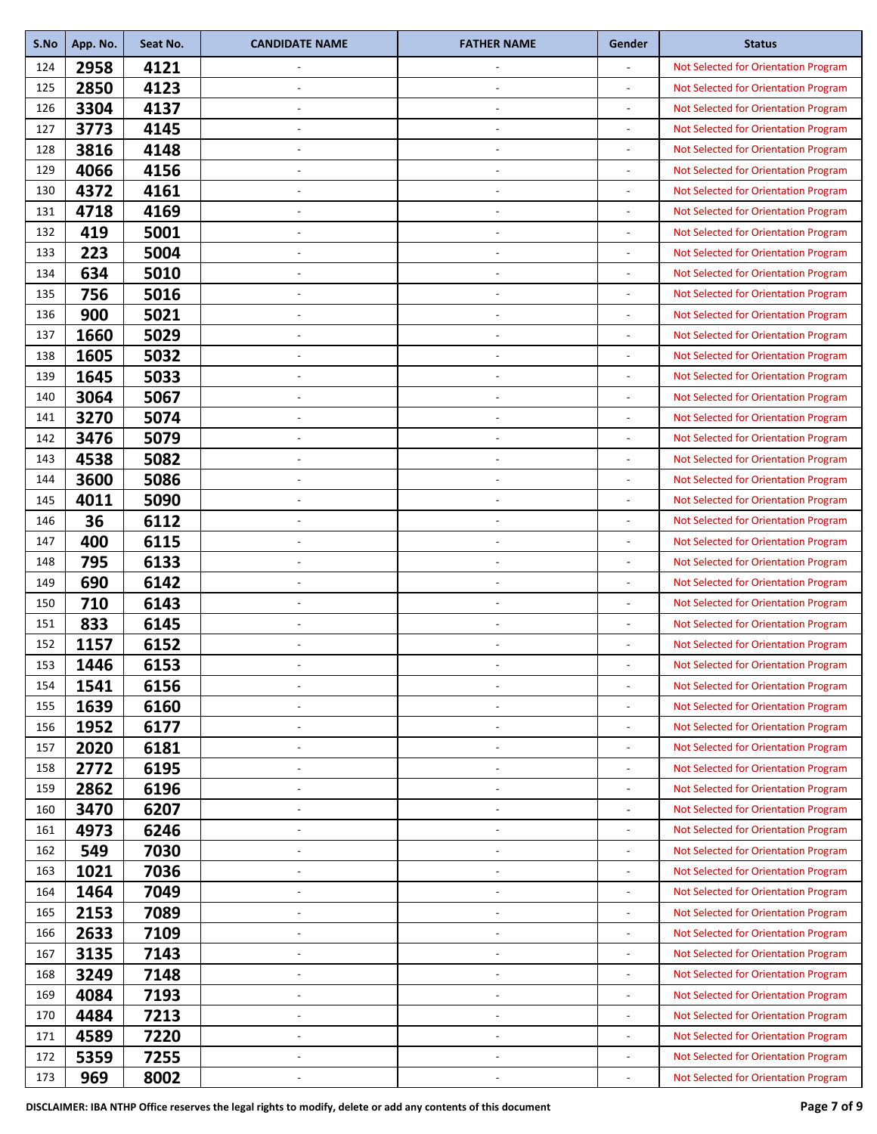| S.No | App. No. | Seat No. | <b>CANDIDATE NAME</b>    | <b>FATHER NAME</b>       | Gender                   | <b>Status</b>                        |
|------|----------|----------|--------------------------|--------------------------|--------------------------|--------------------------------------|
| 124  | 2958     | 4121     |                          |                          | ÷.                       | Not Selected for Orientation Program |
| 125  | 2850     | 4123     | $\overline{a}$           | $\overline{\phantom{a}}$ | $\overline{\phantom{a}}$ | Not Selected for Orientation Program |
| 126  | 3304     | 4137     |                          |                          | $\overline{a}$           | Not Selected for Orientation Program |
| 127  | 3773     | 4145     | ٠                        | $\overline{\phantom{a}}$ | $\overline{a}$           | Not Selected for Orientation Program |
| 128  | 3816     | 4148     |                          |                          | $\overline{a}$           | Not Selected for Orientation Program |
| 129  | 4066     | 4156     | $\overline{\phantom{a}}$ | $\overline{\phantom{a}}$ |                          | Not Selected for Orientation Program |
| 130  | 4372     | 4161     | $\overline{\phantom{a}}$ | $\overline{\phantom{a}}$ | $\overline{a}$           | Not Selected for Orientation Program |
| 131  | 4718     | 4169     |                          |                          |                          | Not Selected for Orientation Program |
| 132  | 419      | 5001     | ٠                        |                          | $\overline{a}$           | Not Selected for Orientation Program |
| 133  | 223      | 5004     |                          |                          |                          | Not Selected for Orientation Program |
| 134  | 634      | 5010     | $\overline{\phantom{a}}$ | $\overline{\phantom{a}}$ |                          | Not Selected for Orientation Program |
| 135  | 756      | 5016     | $\overline{\phantom{a}}$ | $\overline{\phantom{a}}$ | $\overline{a}$           | Not Selected for Orientation Program |
| 136  | 900      | 5021     |                          |                          |                          | Not Selected for Orientation Program |
| 137  | 1660     | 5029     | $\overline{a}$           |                          | $\overline{\phantom{0}}$ | Not Selected for Orientation Program |
| 138  | 1605     | 5032     |                          |                          | $\overline{a}$           | Not Selected for Orientation Program |
| 139  | 1645     | 5033     | $\overline{\phantom{a}}$ | $\overline{\phantom{a}}$ |                          | Not Selected for Orientation Program |
| 140  | 3064     | 5067     | ٠                        | $\overline{\phantom{a}}$ | $\overline{a}$           | Not Selected for Orientation Program |
| 141  | 3270     | 5074     |                          |                          |                          | Not Selected for Orientation Program |
| 142  | 3476     | 5079     | ٠                        | $\overline{\phantom{a}}$ | $\overline{a}$           | Not Selected for Orientation Program |
| 143  | 4538     | 5082     |                          |                          |                          | Not Selected for Orientation Program |
| 144  | 3600     | 5086     | $\overline{\phantom{a}}$ | $\overline{\phantom{a}}$ |                          | Not Selected for Orientation Program |
| 145  | 4011     | 5090     | $\overline{\phantom{a}}$ | $\overline{\phantom{a}}$ | $\overline{a}$           | Not Selected for Orientation Program |
| 146  | 36       | 6112     |                          |                          |                          | Not Selected for Orientation Program |
| 147  | 400      | 6115     | ٠                        |                          | $\overline{a}$           | Not Selected for Orientation Program |
| 148  | 795      | 6133     |                          |                          |                          | Not Selected for Orientation Program |
| 149  | 690      | 6142     | $\overline{\phantom{a}}$ | $\overline{\phantom{a}}$ |                          | Not Selected for Orientation Program |
| 150  | 710      | 6143     | $\overline{a}$           | $\overline{\phantom{a}}$ | $\overline{a}$           | Not Selected for Orientation Program |
| 151  | 833      | 6145     |                          |                          | $\overline{a}$           | Not Selected for Orientation Program |
| 152  | 1157     | 6152     | ٠                        |                          | $\overline{\phantom{0}}$ | Not Selected for Orientation Program |
| 153  | 1446     | 6153     |                          |                          |                          | Not Selected for Orientation Program |
| 154  | 1541     | 6156     |                          | $\overline{\phantom{a}}$ |                          | Not Selected for Orientation Program |
| 155  | 1639     | 6160     | ٠                        | $\overline{\phantom{a}}$ | $\overline{a}$           | Not Selected for Orientation Program |
| 156  | 1952     | 6177     |                          |                          | $\overline{\phantom{0}}$ | Not Selected for Orientation Program |
| 157  | 2020     | 6181     | $\overline{\phantom{a}}$ | $\overline{\phantom{a}}$ | $\overline{a}$           | Not Selected for Orientation Program |
| 158  | 2772     | 6195     |                          |                          | $\overline{a}$           | Not Selected for Orientation Program |
| 159  | 2862     | 6196     | $\overline{\phantom{a}}$ | $\overline{\phantom{a}}$ |                          | Not Selected for Orientation Program |
| 160  | 3470     | 6207     | ٠                        | $\overline{\phantom{a}}$ | $\overline{a}$           | Not Selected for Orientation Program |
| 161  | 4973     | 6246     |                          |                          |                          | Not Selected for Orientation Program |
| 162  | 549      | 7030     | $\overline{a}$           | $\overline{\phantom{a}}$ | $\overline{\phantom{0}}$ | Not Selected for Orientation Program |
| 163  | 1021     | 7036     | ٠                        |                          | $\overline{a}$           | Not Selected for Orientation Program |
| 164  | 1464     | 7049     | ÷,                       | $\overline{\phantom{a}}$ |                          | Not Selected for Orientation Program |
| 165  | 2153     | 7089     | ٠                        | $\overline{\phantom{a}}$ | $\overline{\phantom{0}}$ | Not Selected for Orientation Program |
| 166  | 2633     | 7109     | $\overline{\phantom{a}}$ | $\overline{\phantom{a}}$ |                          | Not Selected for Orientation Program |
| 167  | 3135     | 7143     | $\overline{\phantom{a}}$ | $\overline{\phantom{a}}$ | $\overline{a}$           | Not Selected for Orientation Program |
| 168  | 3249     | 7148     | ٠                        | ÷,                       | $\overline{a}$           | Not Selected for Orientation Program |
| 169  | 4084     | 7193     | $\overline{\phantom{a}}$ | $\overline{\phantom{a}}$ |                          | Not Selected for Orientation Program |
| 170  | 4484     | 7213     | $\overline{\phantom{a}}$ | $\overline{\phantom{a}}$ | $\overline{a}$           | Not Selected for Orientation Program |
| 171  | 4589     | 7220     | $\overline{\phantom{a}}$ | $\overline{\phantom{a}}$ | $\overline{\phantom{0}}$ | Not Selected for Orientation Program |
| 172  | 5359     | 7255     | ٠                        | $\overline{\phantom{a}}$ | $\overline{a}$           | Not Selected for Orientation Program |
| 173  | 969      | 8002     |                          |                          |                          | Not Selected for Orientation Program |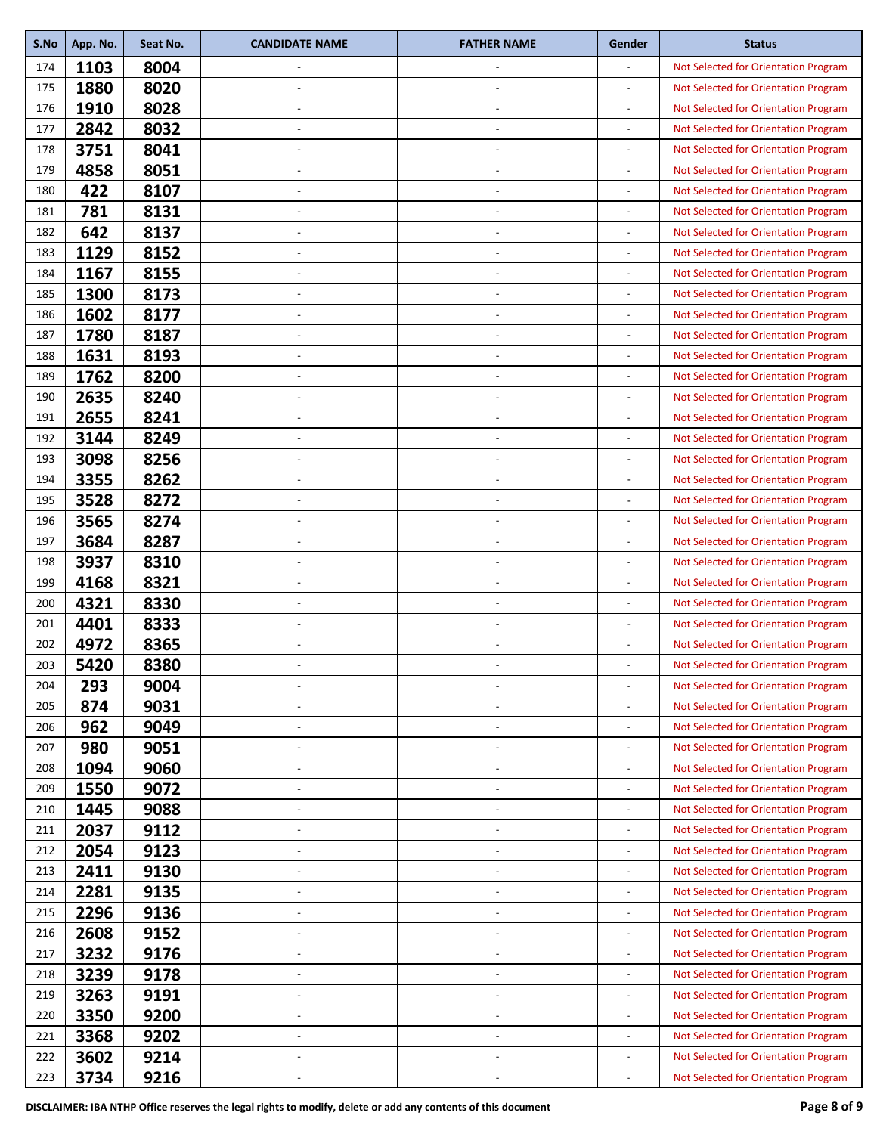| S.No | App. No. | Seat No. | <b>CANDIDATE NAME</b>    | <b>FATHER NAME</b>       | Gender                   | <b>Status</b>                        |
|------|----------|----------|--------------------------|--------------------------|--------------------------|--------------------------------------|
| 174  | 1103     | 8004     |                          |                          |                          | Not Selected for Orientation Program |
| 175  | 1880     | 8020     | $\overline{a}$           | $\overline{\phantom{a}}$ | $\overline{a}$           | Not Selected for Orientation Program |
| 176  | 1910     | 8028     |                          |                          |                          | Not Selected for Orientation Program |
| 177  | 2842     | 8032     | ٠                        | $\overline{\phantom{a}}$ | $\overline{a}$           | Not Selected for Orientation Program |
| 178  | 3751     | 8041     |                          |                          | $\overline{a}$           | Not Selected for Orientation Program |
| 179  | 4858     | 8051     | $\overline{\phantom{a}}$ | $\overline{\phantom{a}}$ |                          | Not Selected for Orientation Program |
| 180  | 422      | 8107     | $\overline{\phantom{a}}$ | $\overline{\phantom{a}}$ | $\overline{a}$           | Not Selected for Orientation Program |
| 181  | 781      | 8131     |                          |                          |                          | Not Selected for Orientation Program |
| 182  | 642      | 8137     | ÷,                       |                          | $\overline{a}$           | Not Selected for Orientation Program |
| 183  | 1129     | 8152     |                          |                          |                          | Not Selected for Orientation Program |
| 184  | 1167     | 8155     | $\overline{\phantom{a}}$ | $\overline{\phantom{a}}$ |                          | Not Selected for Orientation Program |
| 185  | 1300     | 8173     | $\overline{\phantom{a}}$ | $\overline{\phantom{a}}$ | $\overline{a}$           | Not Selected for Orientation Program |
| 186  | 1602     | 8177     |                          |                          |                          | Not Selected for Orientation Program |
| 187  | 1780     | 8187     | $\overline{a}$           |                          | $\overline{a}$           | Not Selected for Orientation Program |
| 188  | 1631     | 8193     |                          |                          | $\overline{\phantom{a}}$ | Not Selected for Orientation Program |
| 189  | 1762     | 8200     | $\overline{\phantom{a}}$ | $\overline{\phantom{a}}$ |                          | Not Selected for Orientation Program |
| 190  | 2635     | 8240     | ٠                        | $\overline{\phantom{a}}$ | $\overline{a}$           | Not Selected for Orientation Program |
| 191  | 2655     | 8241     |                          |                          |                          | Not Selected for Orientation Program |
| 192  | 3144     | 8249     | ٠                        |                          | $\overline{a}$           | Not Selected for Orientation Program |
| 193  | 3098     | 8256     |                          |                          | $\overline{a}$           | Not Selected for Orientation Program |
| 194  | 3355     | 8262     | $\overline{\phantom{a}}$ | $\overline{\phantom{a}}$ |                          | Not Selected for Orientation Program |
| 195  | 3528     | 8272     | $\overline{\phantom{a}}$ | $\overline{\phantom{a}}$ | $\overline{a}$           | Not Selected for Orientation Program |
| 196  | 3565     | 8274     |                          |                          |                          | Not Selected for Orientation Program |
| 197  | 3684     | 8287     | ٠                        |                          | $\overline{a}$           | Not Selected for Orientation Program |
| 198  | 3937     | 8310     |                          |                          |                          | Not Selected for Orientation Program |
| 199  | 4168     | 8321     | $\overline{\phantom{a}}$ | $\overline{\phantom{a}}$ |                          | Not Selected for Orientation Program |
| 200  | 4321     | 8330     | ÷,                       | $\overline{\phantom{a}}$ | $\overline{a}$           | Not Selected for Orientation Program |
| 201  | 4401     | 8333     |                          |                          | $\overline{a}$           | Not Selected for Orientation Program |
| 202  | 4972     | 8365     | ٠                        |                          | $\overline{\phantom{0}}$ | Not Selected for Orientation Program |
| 203  | 5420     | 8380     |                          |                          |                          | Not Selected for Orientation Program |
| 204  | 293      | 9004     |                          |                          |                          | Not Selected for Orientation Program |
| 205  | 874      | 9031     | ٠                        | $\overline{\phantom{a}}$ | $\overline{a}$           | Not Selected for Orientation Program |
| 206  | 962      | 9049     |                          |                          |                          | Not Selected for Orientation Program |
| 207  | 980      | 9051     | $\overline{\phantom{a}}$ | $\overline{\phantom{a}}$ | $\overline{a}$           | Not Selected for Orientation Program |
| 208  | 1094     | 9060     |                          |                          | -                        | Not Selected for Orientation Program |
| 209  | 1550     | 9072     | $\overline{\phantom{a}}$ | $\overline{\phantom{a}}$ |                          | Not Selected for Orientation Program |
| 210  | 1445     | 9088     | ٠                        | $\overline{\phantom{a}}$ | $\overline{a}$           | Not Selected for Orientation Program |
| 211  | 2037     | 9112     |                          |                          |                          | Not Selected for Orientation Program |
| 212  | 2054     | 9123     | $\overline{a}$           | $\overline{\phantom{a}}$ | $\overline{\phantom{0}}$ | Not Selected for Orientation Program |
| 213  | 2411     | 9130     |                          |                          | $\overline{a}$           | Not Selected for Orientation Program |
| 214  | 2281     | 9135     | ÷,                       | $\overline{\phantom{a}}$ |                          | Not Selected for Orientation Program |
| 215  | 2296     | 9136     | ٠                        | $\overline{\phantom{a}}$ | $\overline{a}$           | Not Selected for Orientation Program |
| 216  | 2608     | 9152     | $\overline{\phantom{a}}$ |                          |                          | Not Selected for Orientation Program |
| 217  | 3232     | 9176     | $\overline{\phantom{a}}$ | $\overline{\phantom{a}}$ | $\overline{a}$           | Not Selected for Orientation Program |
| 218  | 3239     | 9178     | ٠                        |                          | $\overline{a}$           | Not Selected for Orientation Program |
| 219  | 3263     | 9191     | $\overline{\phantom{a}}$ | $\overline{\phantom{a}}$ |                          | Not Selected for Orientation Program |
| 220  | 3350     | 9200     | $\overline{\phantom{a}}$ | $\overline{\phantom{a}}$ | $\overline{a}$           | Not Selected for Orientation Program |
| 221  | 3368     | 9202     | $\overline{\phantom{a}}$ | $\overline{\phantom{a}}$ | $\overline{\phantom{0}}$ | Not Selected for Orientation Program |
| 222  | 3602     | 9214     | ٠                        | $\overline{\phantom{a}}$ | $\overline{a}$           | Not Selected for Orientation Program |
| 223  | 3734     | 9216     |                          |                          |                          | Not Selected for Orientation Program |